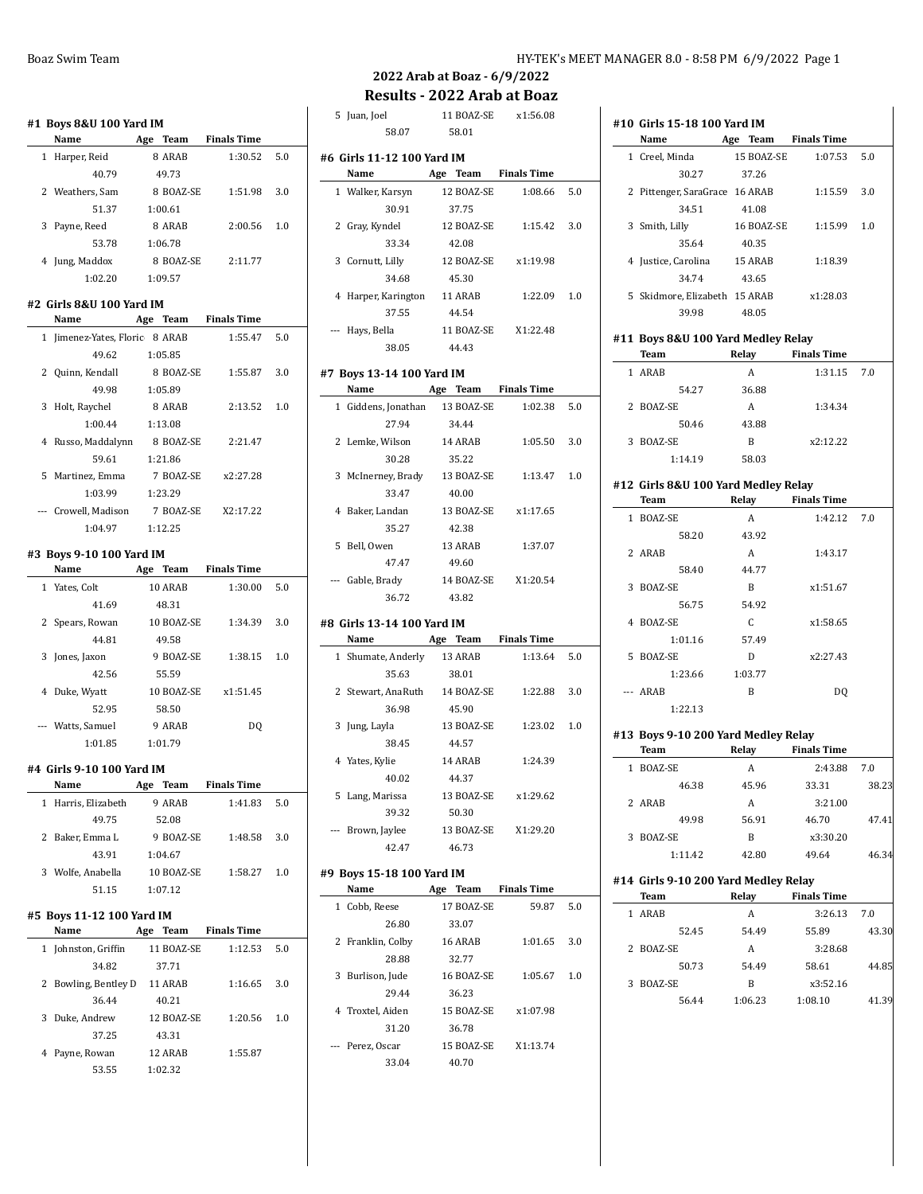|   | #1 Boys 8&U 100 Yard IM<br>Name | Team<br>Age          | <b>Finals Time</b> |     |
|---|---------------------------------|----------------------|--------------------|-----|
|   | 1 Harper, Reid                  | 8 ARAB               | 1:30.52            | 5.0 |
|   | 40.79                           | 49.73                |                    |     |
|   | 2 Weathers, Sam                 | 8 BOAZ-SE            | 1:51.98            | 3.0 |
|   | 51.37                           | 1:00.61              |                    |     |
|   | 3 Payne, Reed                   | 8 ARAB               | 2:00.56            | 1.0 |
|   | 53.78                           | 1:06.78              |                    |     |
|   | 4 Jung, Maddox                  | 8 BOAZ-SE            | 2:11.77            |     |
|   | 1:02.20                         | 1:09.57              |                    |     |
|   |                                 |                      |                    |     |
|   | #2 Girls 8&U 100 Yard IM        |                      |                    |     |
|   | Name                            | Age Team Finals Time |                    |     |
|   | 1 Jimenez-Yates, Floric 8 ARAB  |                      | 1:55.47            | 5.0 |
|   | 49.62                           | 1:05.85              |                    |     |
|   | 2 Quinn, Kendall                | 8 BOAZ-SE            | 1:55.87            | 3.0 |
|   | 49.98                           | 1:05.89              |                    |     |
|   | 3 Holt, Raychel                 | 8 ARAB               | 2:13.52            | 1.0 |
|   | 1:00.44                         | 1:13.08              |                    |     |
|   | 4 Russo, Maddalynn              | 8 BOAZ-SE            | 2:21.47            |     |
|   | 59.61                           | 1:21.86              |                    |     |
|   | 5 Martinez, Emma                | 7 BOAZ-SE            | x2:27.28           |     |
|   | 1:03.99                         | 1:23.29              |                    |     |
|   | --- Crowell, Madison            | 7 BOAZ-SE X2:17.22   |                    |     |
|   | 1:04.97                         | 1:12.25              |                    |     |
|   | #3 Boys 9-10 100 Yard IM        |                      |                    |     |
|   | Name                            | Age Team Finals Time |                    |     |
|   | 1 Yates, Colt                   | 10 ARAB              | 1:30.00            | 5.0 |
|   | 41.69                           | 48.31                |                    |     |
|   |                                 |                      |                    |     |
|   |                                 |                      | 1:34.39            | 3.0 |
|   | 2 Spears, Rowan<br>44.81        | 10 BOAZ-SE           |                    |     |
| 3 |                                 | 49.58<br>9 BOAZ-SE   | 1:38.15            | 1.0 |
|   | Jones, Jaxon<br>42.56           |                      |                    |     |
|   |                                 | 55.59                |                    |     |
|   | 4 Duke, Wyatt                   | 10 BOAZ-SE           | x1:51.45           |     |
|   | 52.95                           | 58.50                |                    |     |
|   | --- Watts, Samuel               | 9 ARAB               | DQ                 |     |
|   | 1:01.85                         | 1:01.79              |                    |     |
|   | #4 Girls 9-10 100 Yard IM       |                      |                    |     |
|   | Name                            | Age Team Finals Time |                    |     |
|   | 1 Harris, Elizabeth             | 9 ARAB               | 1:41.83            | 5.0 |
|   | 49.75                           | 52.08                |                    |     |
|   | 2 Baker, Emma L                 | 9 BOAZ-SE            | 1:48.58            | 3.0 |
|   | 43.91                           | 1:04.67              |                    |     |
|   | 3 Wolfe, Anabella 10 BOAZ-SE    |                      | 1:58.27            | 1.0 |
|   | 51.15                           | 1:07.12              |                    |     |
|   | #5 Boys 11-12 100 Yard IM       |                      |                    |     |
|   | Name 5 Age Team Finals Time     |                      |                    |     |
|   | 1 Johnston, Griffin             | 11 BOAZ-SE           | 1:12.53            | 5.0 |
|   | 34.82                           | 37.71                |                    |     |
|   | 2 Bowling, Bentley D            | 11 ARAB              | 1:16.65            | 3.0 |
|   | 36.44                           | 40.21                |                    |     |
|   | 3 Duke, Andrew                  | 12 BOAZ-SE           | 1:20.56            | 1.0 |
|   | 37.25                           | 43.31                |                    |     |
|   | 4 Payne, Rowan                  | 12 ARAB              | 1:55.87            |     |

# **2022 Arab at Boaz - 6/9/2022**

**Results - 2022 Arab at Boaz**

| 5 Juan, Joel                         | 11 BOAZ-SE           | x1:56.08           |     |
|--------------------------------------|----------------------|--------------------|-----|
| 58.07                                | 58.01                |                    |     |
| #6  Girls 11-12 100 Yard IM<br>Name  | Age Team             | <b>Finals Time</b> |     |
| 1 Walker, Karsyn                     | 12 BOAZ-SE           | 1:08.66            | 5.0 |
| 30.91                                | 37.75                |                    |     |
| 2 Gray, Kyndel                       | 12 BOAZ-SE           | 1:15.42            | 3.0 |
| 33.34                                | 42.08                |                    |     |
| 3 Cornutt, Lilly                     | 12 BOAZ-SE           | x1:19.98           |     |
| 34.68                                | 45.30                |                    |     |
| 4 Harper, Karington 11 ARAB          |                      | 1:22.09            | 1.0 |
| 37.55                                | 44.54                |                    |     |
| --- Hays, Bella                      | 11 BOAZ-SE           | X1:22.48           |     |
| 38.05                                | 44.43                |                    |     |
| #7 Boys 13-14 100 Yard IM            |                      |                    |     |
| Name Age Team Finals Time            |                      |                    |     |
| 1 Giddens, Jonathan 13 BOAZ-SE       |                      | 1:02.38            | 5.0 |
| 27.94                                | 34.44                |                    |     |
| 2 Lemke, Wilson                      | 14 ARAB              | 1:05.50            | 3.0 |
| 30.28                                | 35.22                |                    |     |
| 3 McInerney, Brady 13 BOAZ-SE        |                      | 1:13.47            | 1.0 |
| 33.47                                | 40.00                |                    |     |
| 4 Baker, Landan                      | 13 BOAZ-SE           | x1:17.65           |     |
| 35.27                                | 42.38                |                    |     |
| 5 Bell, Owen                         | 13 ARAB              | 1:37.07            |     |
| 47.47                                | 49.60                |                    |     |
| --- Gable, Brady                     | 14 BOAZ-SE           | X1:20.54           |     |
| 36.72                                | 43.82                |                    |     |
| #8 Girls 13-14 100 Yard IM           |                      |                    |     |
| Name                                 | Age Team Finals Time |                    |     |
| 1 Shumate, Anderly                   | 13 ARAB              | 1:13.64            | 5.0 |
| 35.63                                | 38.01                |                    |     |
| 2 Stewart, AnaRuth                   | 14 BOAZ-SE           | 1:22.88            | 3.0 |
| 36.98                                | 45.90                |                    |     |
| 3 Jung, Layla                        | 13 BOAZ-SE           | 1:23.02            | 1.0 |
| 38.45                                | 44.57                |                    |     |
| 4 Yates, Kylie                       | 14 ARAB              | 1:24.39            |     |
| 40.02                                | 44.37                |                    |     |
| 5 Lang, Marissa                      | 13 BOAZ-SE           | x1:29.62           |     |
| 39.32<br>--- Brown, Jaylee           | 50.30<br>13 BOAZ-SE  |                    |     |
| 42.47                                | 46.73                | X1:29.20           |     |
|                                      |                      |                    |     |
| #9 Boys 15-18 100 Yard IM            |                      |                    |     |
| Name                                 | Age Team Finals Time |                    |     |
| 1 Cobb, Reese                        | 17 BOAZ-SE           | 59.87              | 5.0 |
| 26.80                                | 33.07                |                    |     |
| 2 Franklin, Colby                    | 16 ARAB              | 1:01.65            | 3.0 |
| 28.88                                | 32.77                |                    |     |
| 3 Burlison, Jude                     | 16 BOAZ-SE           | 1:05.67            | 1.0 |
| 29.44                                | 36.23                |                    |     |
| 4 Troxtel, Aiden                     | 15 BOAZ-SE           | x1.07.98           |     |
| 31.20                                | 36.78                |                    |     |
| --- Perez, Oscar 15 BOAZ-SE X1:13.74 |                      |                    |     |

33.04 40.70

|   | #10 Girls 15-18 100 Yard IM<br>Name         | Age Team Finals Time |                    |                |
|---|---------------------------------------------|----------------------|--------------------|----------------|
|   | 1 Creel, Minda                              | 15 BOAZ-SE           | 1:07.53            | 5.0            |
|   | 30.27                                       | 37.26                |                    |                |
|   | 2 Pittenger, SaraGrace 16 ARAB              |                      | 1:15.59            | 3.0            |
|   | 34.51                                       | 41.08                |                    |                |
| 3 | Smith, Lilly                                | 16 BOAZ-SE           | 1:15.99            | 1.0            |
|   | 35.64                                       | 40.35                |                    |                |
|   | 4 Justice, Carolina 15 ARAB                 |                      | 1:18.39            |                |
|   | 34.74                                       | 43.65                |                    |                |
|   | 5 Skidmore, Elizabeth 15 ARAB               |                      | x1:28.03           |                |
|   | 39.98                                       | 48.05                |                    |                |
|   | #11 Boys 8&U 100 Yard Medley Relay          |                      |                    |                |
|   | Team                                        | Relay Finals Time    |                    |                |
|   | 1 ARAB                                      | A                    | 1:31.15            | 7.0            |
|   | 54.27                                       | 36.88                |                    |                |
|   | 2 BOAZ-SE                                   | $\mathbf{A}$         | 1:34.34            |                |
|   | 50.46                                       | 43.88                |                    |                |
|   | 3 BOAZ-SE                                   | B                    | x2:12.22           |                |
|   | 1:14.19                                     | 58.03                |                    |                |
|   |                                             |                      |                    |                |
|   | #12 Girls 8&U 100 Yard Medley Relay<br>Team | Relay Finals Time    |                    |                |
|   | 1 BOAZ-SE                                   | A                    | 1:42.12            | 7.0            |
|   | 58.20                                       | 43.92                |                    |                |
|   | 2 ARAB                                      | A                    | 1:43.17            |                |
|   | 58.40                                       | 44.77                |                    |                |
| 3 | BOAZ-SE                                     | B                    | x1:51.67           |                |
|   | 56.75                                       | 54.92                |                    |                |
| 4 | BOAZ-SE                                     | C <sub>1</sub>       | x1:58.65           |                |
|   | 1:01.16                                     | 57.49                |                    |                |
| 5 | BOAZ-SE                                     | D                    | x2:27.43           |                |
|   | 1:23.66                                     | 1:03.77              |                    |                |
|   | --- ARAB                                    | B                    | DQ                 |                |
|   | 1:22.13                                     |                      |                    |                |
|   |                                             |                      |                    |                |
|   | #13 Boys 9-10 200 Yard Medley Relay<br>Team | Relay                | <b>Finals Time</b> |                |
|   | 1 BOAZ-SE                                   | A                    | 2:43.88            | 7.0            |
|   | 46.38                                       | 45.96                | 33.31              | 38.23          |
|   | 2 ARAB                                      | A                    | 3:21.00            |                |
|   | 49.98                                       | 56.91                | 46.70              | 47.41          |
|   | 3 BOAZ-SE                                   | B                    | x3:30.20           |                |
|   |                                             | 42.80                | 49.64              | 46.34          |
|   |                                             |                      |                    |                |
|   | 1:11.42                                     |                      |                    |                |
|   | #14 Girls 9-10 200 Yard Medley Relay        |                      |                    |                |
|   | Team                                        | Relay                | <b>Finals Time</b> |                |
|   | 1 ARAB                                      | A                    | 3:26.13            | 7.0            |
|   | 52.45                                       | 54.49                | 55.89              |                |
|   | 2 BOAZ-SE                                   | A                    | 3:28.68            |                |
|   | 50.73                                       | 54.49                | 58.61              |                |
|   | 3 BOAZ-SE                                   | B<br>1:06.23         | x3:52.16           | 43.30<br>44.85 |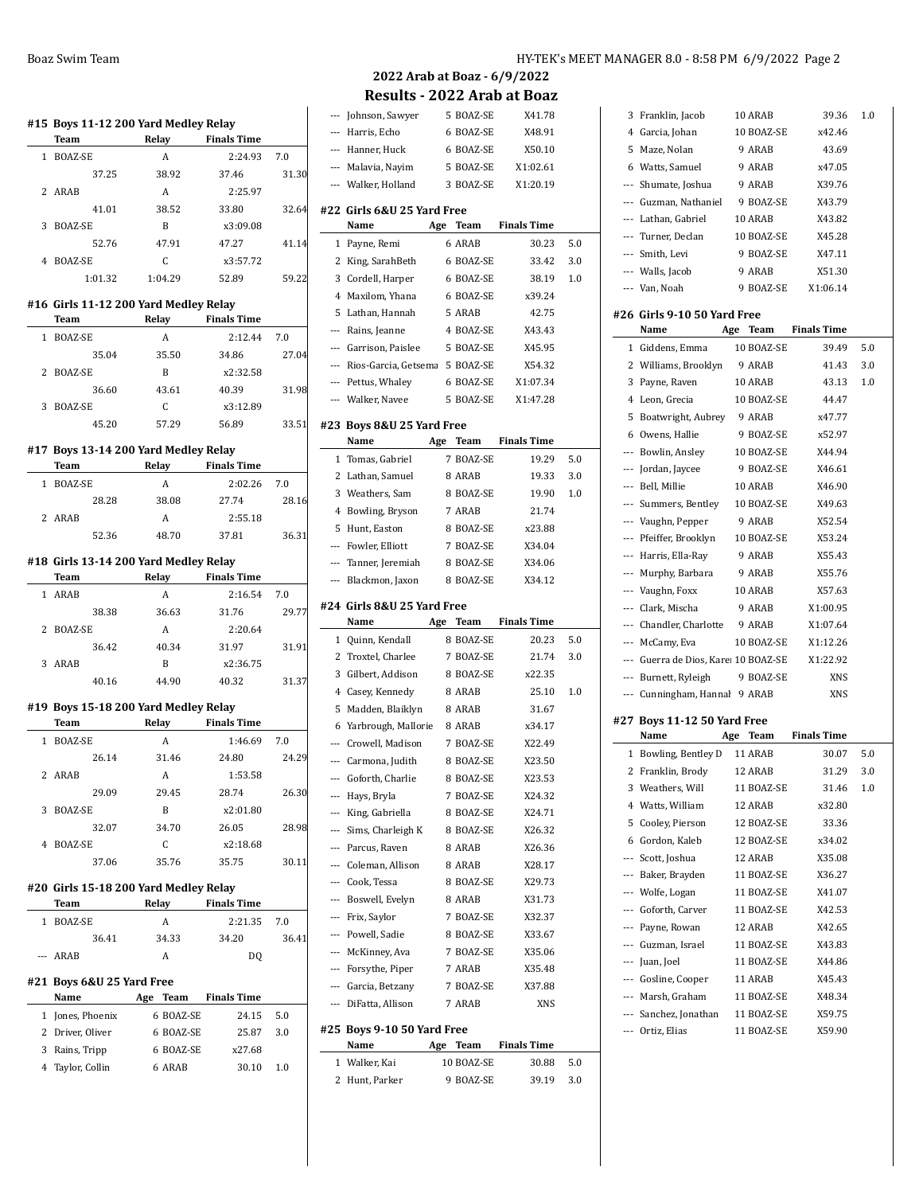### **#15 Boys 11-12 200 Yard Medley Relay Team Relay Finals Time** 1 BOAZ-SE A 2:24.93 7.0 37.25 38.92 37.46 31.30 2 ARAB A 2:25.97 41.01 38.52 33.80 32.64 3 BOAZ-SE B x3:09.08 52.76 47.91 47.27 41.14 4 BOAZ-SE C x3:57.72 1:01.32 1:04.29 52.89 59.22 **#16 Girls 11-12 200 Yard Medley Relay Team Relay Finals Time** 1 BOAZ-SE A 2:12.44 7.0 35.04 35.50 34.86 27.04 2 BOAZ-SE B x2:32.58 36.60 43.61 40.39 31.98 3 BOAZ-SE C x3:12.89 45.20 57.29 56.89 33.51 **#17 Boys 13-14 200 Yard Medley Relay Team Relay Finals Time** 1 BOAZ-SE A 2:02.26 7.0 28.28 38.08 27.74 28.16 2 ARAB A 2:55.18 52.36 48.70 37.81 36.31 **#18 Girls 13-14 200 Yard Medley Relay Team Relay Finals Time** 1 ARAB A 2:16.54 7.0 38.38 36.63 31.76 29.77 2 BOAZ-SE A 2:20.64 36.42 40.34 31.97 31.91 3 ARAB B x2:36.75 40.16 44.90 40.32 31.37 **#19 Boys 15-18 200 Yard Medley Relay Team Relay Finals Time**

|   | 1 BOAZ-SE | А     | 1:46.69  | 7.0   |
|---|-----------|-------|----------|-------|
|   | 26.14     | 31.46 | 24.80    | 24.29 |
|   | 2 ARAB    | А     | 1:53.58  |       |
|   | 29.09     | 29.45 | 28.74    | 26.30 |
| 3 | BOAZ-SE   | B     | x2:01.80 |       |
|   | 32.07     | 34.70 | 26.05    | 28.98 |
| 4 | BOAZ-SE   | C     | x2:18.68 |       |
|   | 37.06     | 35.76 | 35.75    | 30.11 |
|   |           |       |          |       |

#### **#20 Girls 15-18 200 Yard Medley Relay**

| Team      |       | Relay | <b>Finals Time</b> |       |
|-----------|-------|-------|--------------------|-------|
| 1 BOAZ-SE |       | A     | $2:21.35$ 7.0      |       |
|           | 36.41 | 34.33 | 34.20              | 36.41 |
| $-$ ARAB  |       | А     | DO                 |       |

#### **#21 Boys 6&U 25 Yard Free**

| Name             | Age | Team      | <b>Finals Time</b> |     |  |
|------------------|-----|-----------|--------------------|-----|--|
| 1 Jones, Phoenix |     | 6 BOAZ-SE | 24.15              | 5.0 |  |
| 2 Driver, Oliver |     | 6 BOAZ-SE | 25.87              | 30  |  |
| 3 Rains, Tripp   |     | 6 BOAZ-SE | x27.68             |     |  |
| 4 Taylor, Collin |     | 6 ARAB    | 30.10              | 10  |  |
|                  |     |           |                    |     |  |

|                          | --- Johnson, Sawyer                         |     | 5 BOAZ-SE              | X41.78               |     |
|--------------------------|---------------------------------------------|-----|------------------------|----------------------|-----|
|                          | --- Harris, Echo                            |     | 6 BOAZ-SE              | X48.91               |     |
|                          | --- Hanner, Huck                            |     | 6 BOAZ-SE              | X50.10               |     |
|                          | --- Malavia, Nayim                          |     | 5 BOAZ-SE              | X1:02.61             |     |
|                          | --- Walker, Holland                         |     | 3 BOAZ-SE              | X1:20.19             |     |
|                          | #22 Girls 6&U 25 Yard Free                  |     |                        |                      |     |
|                          | Name                                        | Age | Team                   | <b>Finals Time</b>   |     |
| 1                        | Payne, Remi                                 |     | 6 ARAB                 | 30.23                | 5.0 |
|                          | 2 King, SarahBeth                           |     | 6 BOAZ-SE              | 33.42                | 3.0 |
|                          | 3 Cordell, Harper                           |     | 6 BOAZ-SE              | 38.19                | 1.0 |
| 4                        | Maxilom, Yhana                              |     | 6 BOAZ-SE              | x39.24               |     |
| 5                        | Lathan, Hannah                              |     | 5 ARAB                 | 42.75                |     |
| $\overline{\phantom{a}}$ |                                             |     | 4 BOAZ-SE              | X43.43               |     |
|                          | Rains, Jeanne<br>--- Garrison, Paislee      |     | 5 BOAZ-SE              | X45.95               |     |
|                          |                                             |     |                        | X54.32               |     |
|                          | --- Rios-Garcia, Getsema 5 BOAZ-SE          |     |                        |                      |     |
|                          | --- Pettus, Whaley                          |     | 6 BOAZ-SE              | X1:07.34             |     |
|                          | --- Walker, Navee                           |     | 5 BOAZ-SE              | X1:47.28             |     |
|                          | #23  Boys 8&U 25 Yard Free                  |     |                        |                      |     |
|                          | Name                                        |     | Age Team               | <b>Finals Time</b>   |     |
| $\mathbf{1}$             | Tomas, Gabriel                              |     | 7 BOAZ-SE              | 19.29                | 5.0 |
|                          | 2 Lathan, Samuel                            |     | 8 ARAB                 | 19.33                | 3.0 |
| 3                        | Weathers, Sam                               |     | 8 BOAZ-SE              | 19.90                | 1.0 |
| $\overline{4}$           | Bowling, Bryson                             |     | 7 ARAB                 | 21.74                |     |
| 5                        | Hunt, Easton                                |     | 8 BOAZ-SE              | x23.88               |     |
|                          | --- Fowler, Elliott                         |     | 7 BOAZ-SE              | X34.04               |     |
| $---$                    | Tanner, Jeremiah                            |     | 8 BOAZ-SE              | X34.06               |     |
|                          | --- Blackmon, Jaxon                         |     | 8 BOAZ-SE              | X34.12               |     |
|                          | #24 Girls 8&U 25 Yard Free                  |     |                        |                      |     |
|                          | Name                                        |     |                        | Age Team Finals Time |     |
| $\mathbf{1}$             | Quinn, Kendall                              |     | 8 BOAZ-SE              | 20.23                | 5.0 |
| $\mathbf{2}$             |                                             |     |                        |                      |     |
| 3                        |                                             |     |                        |                      |     |
|                          | Troxtel, Charlee                            |     | 7 BOAZ-SE              | 21.74                | 3.0 |
|                          | Gilbert, Addison                            |     | 8 BOAZ-SE<br>8 ARAB    | x22.35               |     |
| 5                        | 4 Casey, Kennedy                            |     | 8 ARAB                 | 25.10<br>31.67       | 1.0 |
|                          | Madden, Blaiklyn                            |     |                        |                      |     |
|                          | 6 Yarbrough, Mallorie                       |     | 8 ARAB                 | x34.17               |     |
|                          | --- Crowell, Madison<br>--- Carmona, Judith |     | 7 BOAZ-SE<br>8 BOAZ-SE | X22.49<br>X23.50     |     |
|                          |                                             |     |                        |                      |     |
|                          | --- Goforth, Charlie                        |     | 8 BOAZ-SE              | X23.53               |     |
|                          | --- Hays, Bryla                             |     | 7 BOAZ-SE              | X24.32               |     |
|                          | --- King, Gabriella                         |     | 8 BOAZ-SE              | X24.71               |     |
|                          | --- Sims, Charleigh K                       |     | 8 BOAZ-SE              | X26.32               |     |
|                          | --- Parcus, Raven<br>--- Coleman, Allison   |     | 8 ARAB<br>8 ARAB       | X26.36<br>X28.17     |     |
|                          | --- Cook, Tessa                             |     | 8 BOAZ-SE              | X29.73               |     |
|                          | --- Boswell, Evelyn                         |     | 8 ARAB                 | X31.73               |     |
|                          |                                             |     | 7 BOAZ-SE              | X32.37               |     |
|                          | --- Frix, Saylor<br>--- Powell, Sadie       |     | 8 BOAZ-SE              | X33.67               |     |
|                          |                                             |     | 7 BOAZ-SE              | X35.06               |     |
|                          | --- McKinney, Ava<br>--- Forsythe, Piper    |     | 7 ARAB                 | X35.48               |     |
|                          | --- Garcia, Betzany                         |     | 7 BOAZ-SE              | X37.88               |     |
|                          | --- DiFatta, Allison                        |     | 7 ARAB                 | XNS                  |     |
|                          | #25  Boys 9-10 50 Yard Free                 |     |                        |                      |     |

#### **Name Age Team Finals Time**

| .              | $\sim$ |            |       |     |
|----------------|--------|------------|-------|-----|
| 1 Walker, Kai  |        | 10 BOAZ-SE | 30.88 | 5.0 |
| 2 Hunt, Parker |        | 9 BOAZ-SE  | 39.19 | 3.0 |

| 3     | Franklin, Jacob                     | 10 ARAB    | 39.36              | 1.0     |
|-------|-------------------------------------|------------|--------------------|---------|
| 4     | Garcia, Johan                       | 10 BOAZ-SE | x42.46             |         |
| 5     | Maze, Nolan                         | 9 ARAB     | 43.69              |         |
|       | 6 Watts, Samuel                     | 9 ARAB     | x47.05             |         |
|       | --- Shumate, Joshua                 | 9 ARAB     | X39.76             |         |
|       | --- Guzman, Nathaniel               | 9 BOAZ-SE  | X43.79             |         |
| ---   | Lathan, Gabriel                     | 10 ARAB    | X43.82             |         |
|       | --- Turner, Declan                  | 10 BOAZ-SE | X45.28             |         |
|       | --- Smith, Levi                     | 9 BOAZ-SE  | X47.11             |         |
|       | --- Walls, Jacob                    | 9 ARAB     | X51.30             |         |
|       | --- Van, Noah                       | 9 BOAZ-SE  | X1:06.14           |         |
|       | #26  Girls 9-10 50 Yard Free        |            |                    |         |
|       | Name<br>Age                         | Team       | <b>Finals Time</b> |         |
|       | 1 Giddens, Emma                     | 10 BOAZ-SE | 39.49              | 5.0     |
| 2     | Williams, Brooklyn                  | 9 ARAB     | 41.43              | 3.0     |
| 3     | Payne, Raven                        | 10 ARAB    | 43.13              | $1.0\,$ |
| 4     | Leon, Grecia                        | 10 BOAZ-SE | 44.47              |         |
| 5     | Boatwright, Aubrey                  | 9 ARAB     | x47.77             |         |
|       |                                     | 9 BOAZ-SE  | x52.97             |         |
|       | 6 Owens, Hallie                     | 10 BOAZ-SE |                    |         |
|       | --- Bowlin, Ansley                  |            | X44.94             |         |
| $---$ | Jordan, Jaycee                      | 9 BOAZ-SE  | X46.61             |         |
|       | --- Bell, Millie                    | 10 ARAB    | X46.90             |         |
|       | --- Summers, Bentley                | 10 BOAZ-SE | X49.63             |         |
|       | --- Vaughn, Pepper                  | 9 ARAB     | X52.54             |         |
|       | --- Pfeiffer, Brooklyn              | 10 BOAZ-SE | X53.24             |         |
|       | --- Harris, Ella-Ray                | 9 ARAB     | X55.43             |         |
|       | --- Murphy, Barbara                 | 9 ARAB     | X55.76             |         |
|       | --- Vaughn, Foxx                    | 10 ARAB    | X57.63             |         |
|       | --- Clark, Mischa                   | 9 ARAB     | X1:00.95           |         |
|       | --- Chandler, Charlotte             | 9 ARAB     | X1:07.64           |         |
|       |                                     |            |                    |         |
|       | --- McCamy, Eva                     | 10 BOAZ-SE | X1:12.26           |         |
|       | --- Guerra de Dios, Kare 10 BOAZ-SE |            | X1:22.92           |         |
|       | --- Burnett, Ryleigh                | 9 BOAZ-SE  | XNS                |         |
| $---$ | Cunningham, Hannal 9 ARAB           |            | <b>XNS</b>         |         |
|       |                                     |            |                    |         |
|       | #27 Boys 11-12 50 Yard Free         |            |                    |         |
|       | Name<br>Age                         | Team       | <b>Finals Time</b> |         |
| 1     | Bowling, Bentley D                  | 11 ARAB    | 30.07              | 5.0     |
| 2     | Franklin, Brody                     | 12 ARAB    | 31.29              | 3.0     |
|       | 3 Weathers, Will                    | 11 BOAZ-SE | 31.46              | 1.0     |
|       | 4 Watts, William                    | 12 ARAB    | x32.80             |         |
| 5     | Cooley, Pierson                     | 12 BOAZ-SE | 33.36              |         |
|       | 6 Gordon, Kaleb                     | 12 BOAZ-SE | x34.02             |         |
|       | --- Scott, Joshua                   | 12 ARAB    | X35.08             |         |
|       | --- Baker, Brayden                  | 11 BOAZ-SE | X36.27             |         |
|       | --- Wolfe, Logan                    | 11 BOAZ-SE | X41.07             |         |
|       | --- Goforth, Carver                 | 11 BOAZ-SE | X42.53             |         |
|       | --- Payne, Rowan                    | 12 ARAB    | X42.65             |         |
|       | --- Guzman, Israel                  | 11 BOAZ-SE | X43.83             |         |
|       | --- Juan, Joel                      | 11 BOAZ-SE | X44.86             |         |
|       | --- Gosline, Cooper                 | 11 ARAB    | X45.43             |         |
|       | --- Marsh, Graham                   | 11 BOAZ-SE | X48.34             |         |
|       | --- Sanchez, Jonathan               | 11 BOAZ-SE | X59.75             |         |
|       | --- Ortiz, Elias                    | 11 BOAZ-SE | X59.90             |         |
|       |                                     |            |                    |         |
|       |                                     |            |                    |         |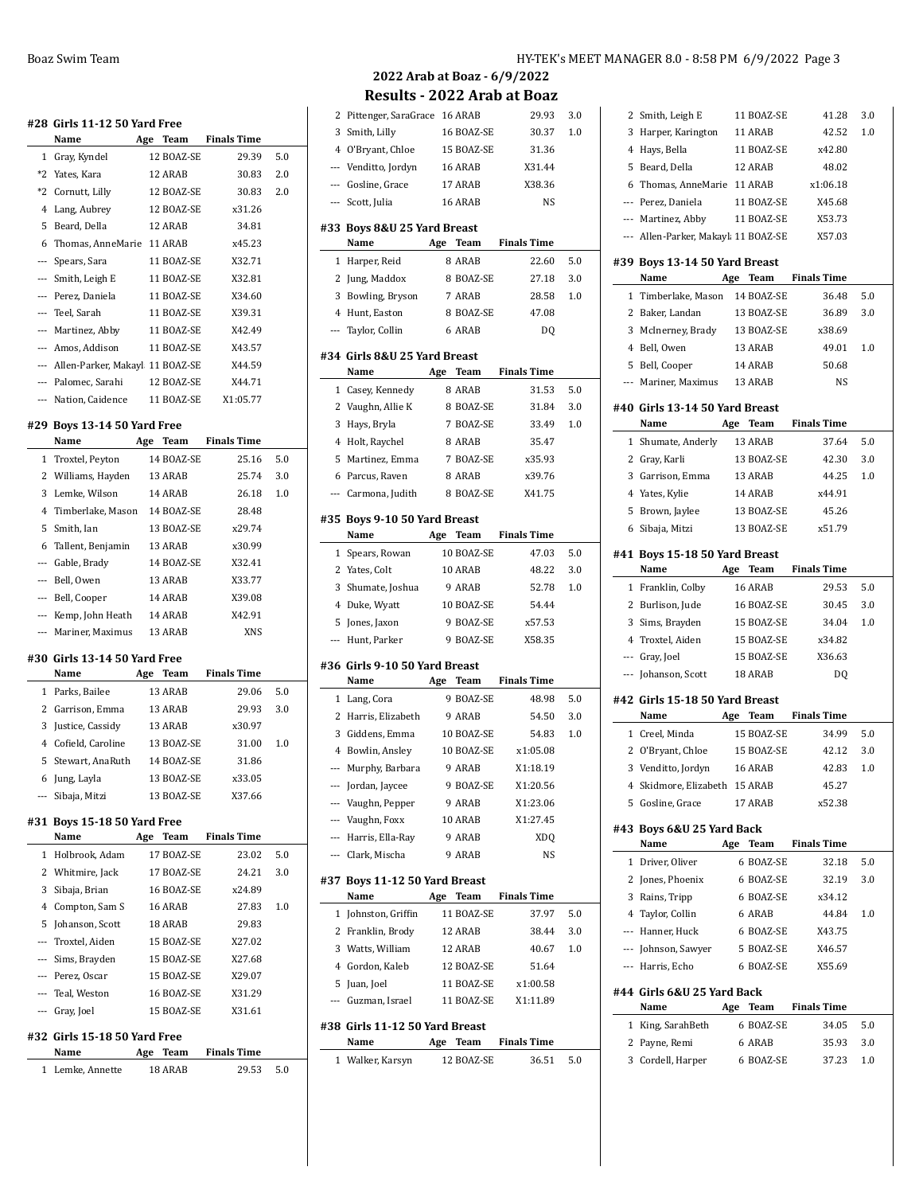| <b>Finals Time</b><br>Name<br>Age<br>Team<br>1<br>Gray, Kyndel<br>12 BOAZ-SE<br>29.39<br>$*2$<br>Yates, Kara<br>12 ARAB<br>30.83<br>$*2$<br>Cornutt, Lilly<br>12 BOAZ-SE<br>30.83<br>4 Lang, Aubrey<br><b>12 BOAZ-SE</b><br>x31.26<br>5<br>Beard, Della<br>12 ARAB<br>34.81<br>x45.23<br>6<br>Thomas, AnneMarie<br>11 ARAB<br><b>11 BOAZ-SE</b><br>X32.71<br>Spears, Sara<br>$---$<br>--- Smith, Leigh E<br>11 BOAZ-SE<br>X32.81<br>--- Perez, Daniela<br>11 BOAZ-SE<br>X34.60<br>--- Teel, Sarah<br>11 BOAZ-SE<br>X39.31<br>11 BOAZ-SE<br>--- Martinez, Abby<br>X42.49<br>--- Amos, Addison<br>11 BOAZ-SE<br>X43.57<br>--- Allen-Parker, Makayl 11 BOAZ-SE<br>X44.59<br>--- Palomec, Sarahi<br>12 BOAZ-SE<br>X44.71<br>--- Nation, Caidence<br>11 BOAZ-SE<br>X1:05.77<br>#29 Boys 13-14 50 Yard Free<br><b>Team</b><br><b>Finals Time</b><br>Name<br>Age<br>Troxtel, Peyton<br>14 BOAZ-SE<br>25.16<br>1<br>2<br>Williams, Hayden<br>13 ARAB<br>25.74<br>Lemke, Wilson<br>3<br>14 ARAB<br>26.18<br>$\overline{4}$<br>Timberlake, Mason<br>14 BOAZ-SE<br>28.48<br>5<br>Smith, Ian<br>13 BOAZ-SE<br>x29.74<br>Tallent, Benjamin<br>13 ARAB<br>x30.99<br>6<br>--- Gable, Brady<br>14 BOAZ-SE<br>X32.41<br>--- Bell, Owen<br>13 ARAB<br>X33.77<br>--- Bell, Cooper<br>14 ARAB<br>X39.08<br>--- Kemp, John Heath<br>14 ARAB<br>X42.91<br>Mariner, Maximus<br>13 ARAB<br><b>XNS</b><br>$---$<br>#30 Girls 13-14 50 Yard Free<br><b>Finals Time</b><br>Name<br>Age Team<br>1 Parks, Bailee<br>13 ARAB<br>29.06<br>Garrison, Emma<br>2<br>13 ARAB<br>29.93<br>3<br>Justice, Cassidy<br>13 ARAB<br>x30.97<br>4<br>Cofield, Caroline<br>13 BOAZ-SE<br>31.00<br>5<br>Stewart, AnaRuth<br>14 BOAZ-SE<br>31.86<br>13 BOAZ-SE<br>6<br>Jung, Layla<br>x33.05<br>13 BOAZ-SE<br>--- Sibaja, Mitzi<br>X37.66<br>#31 Boys 15-18 50 Yard Free<br><b>Finals Time</b><br>Name<br>Age Team<br>17 BOAZ-SE<br>Holbrook, Adam<br>23.02<br>1<br>$\mathbf{2}$<br>Whitmire, Jack<br>17 BOAZ-SE<br>24.21<br>3<br>Sibaja, Brian<br>16 BOAZ-SE<br>x24.89<br>4 Compton, Sam S<br>16 ARAB<br>27.83<br>5 Johanson, Scott<br>18 ARAB<br>29.83<br>--- Troxtel, Aiden<br>15 BOAZ-SE<br>X27.02 |     |
|---------------------------------------------------------------------------------------------------------------------------------------------------------------------------------------------------------------------------------------------------------------------------------------------------------------------------------------------------------------------------------------------------------------------------------------------------------------------------------------------------------------------------------------------------------------------------------------------------------------------------------------------------------------------------------------------------------------------------------------------------------------------------------------------------------------------------------------------------------------------------------------------------------------------------------------------------------------------------------------------------------------------------------------------------------------------------------------------------------------------------------------------------------------------------------------------------------------------------------------------------------------------------------------------------------------------------------------------------------------------------------------------------------------------------------------------------------------------------------------------------------------------------------------------------------------------------------------------------------------------------------------------------------------------------------------------------------------------------------------------------------------------------------------------------------------------------------------------------------------------------------------------------------------------------------------------------------------------------------------------------------------------------------------------------------------------------------------------------------------------------------------------------------|-----|
|                                                                                                                                                                                                                                                                                                                                                                                                                                                                                                                                                                                                                                                                                                                                                                                                                                                                                                                                                                                                                                                                                                                                                                                                                                                                                                                                                                                                                                                                                                                                                                                                                                                                                                                                                                                                                                                                                                                                                                                                                                                                                                                                                         | 5.0 |
|                                                                                                                                                                                                                                                                                                                                                                                                                                                                                                                                                                                                                                                                                                                                                                                                                                                                                                                                                                                                                                                                                                                                                                                                                                                                                                                                                                                                                                                                                                                                                                                                                                                                                                                                                                                                                                                                                                                                                                                                                                                                                                                                                         | 2.0 |
|                                                                                                                                                                                                                                                                                                                                                                                                                                                                                                                                                                                                                                                                                                                                                                                                                                                                                                                                                                                                                                                                                                                                                                                                                                                                                                                                                                                                                                                                                                                                                                                                                                                                                                                                                                                                                                                                                                                                                                                                                                                                                                                                                         | 2.0 |
|                                                                                                                                                                                                                                                                                                                                                                                                                                                                                                                                                                                                                                                                                                                                                                                                                                                                                                                                                                                                                                                                                                                                                                                                                                                                                                                                                                                                                                                                                                                                                                                                                                                                                                                                                                                                                                                                                                                                                                                                                                                                                                                                                         |     |
|                                                                                                                                                                                                                                                                                                                                                                                                                                                                                                                                                                                                                                                                                                                                                                                                                                                                                                                                                                                                                                                                                                                                                                                                                                                                                                                                                                                                                                                                                                                                                                                                                                                                                                                                                                                                                                                                                                                                                                                                                                                                                                                                                         |     |
|                                                                                                                                                                                                                                                                                                                                                                                                                                                                                                                                                                                                                                                                                                                                                                                                                                                                                                                                                                                                                                                                                                                                                                                                                                                                                                                                                                                                                                                                                                                                                                                                                                                                                                                                                                                                                                                                                                                                                                                                                                                                                                                                                         |     |
|                                                                                                                                                                                                                                                                                                                                                                                                                                                                                                                                                                                                                                                                                                                                                                                                                                                                                                                                                                                                                                                                                                                                                                                                                                                                                                                                                                                                                                                                                                                                                                                                                                                                                                                                                                                                                                                                                                                                                                                                                                                                                                                                                         |     |
|                                                                                                                                                                                                                                                                                                                                                                                                                                                                                                                                                                                                                                                                                                                                                                                                                                                                                                                                                                                                                                                                                                                                                                                                                                                                                                                                                                                                                                                                                                                                                                                                                                                                                                                                                                                                                                                                                                                                                                                                                                                                                                                                                         |     |
|                                                                                                                                                                                                                                                                                                                                                                                                                                                                                                                                                                                                                                                                                                                                                                                                                                                                                                                                                                                                                                                                                                                                                                                                                                                                                                                                                                                                                                                                                                                                                                                                                                                                                                                                                                                                                                                                                                                                                                                                                                                                                                                                                         |     |
|                                                                                                                                                                                                                                                                                                                                                                                                                                                                                                                                                                                                                                                                                                                                                                                                                                                                                                                                                                                                                                                                                                                                                                                                                                                                                                                                                                                                                                                                                                                                                                                                                                                                                                                                                                                                                                                                                                                                                                                                                                                                                                                                                         |     |
|                                                                                                                                                                                                                                                                                                                                                                                                                                                                                                                                                                                                                                                                                                                                                                                                                                                                                                                                                                                                                                                                                                                                                                                                                                                                                                                                                                                                                                                                                                                                                                                                                                                                                                                                                                                                                                                                                                                                                                                                                                                                                                                                                         |     |
|                                                                                                                                                                                                                                                                                                                                                                                                                                                                                                                                                                                                                                                                                                                                                                                                                                                                                                                                                                                                                                                                                                                                                                                                                                                                                                                                                                                                                                                                                                                                                                                                                                                                                                                                                                                                                                                                                                                                                                                                                                                                                                                                                         |     |
|                                                                                                                                                                                                                                                                                                                                                                                                                                                                                                                                                                                                                                                                                                                                                                                                                                                                                                                                                                                                                                                                                                                                                                                                                                                                                                                                                                                                                                                                                                                                                                                                                                                                                                                                                                                                                                                                                                                                                                                                                                                                                                                                                         |     |
|                                                                                                                                                                                                                                                                                                                                                                                                                                                                                                                                                                                                                                                                                                                                                                                                                                                                                                                                                                                                                                                                                                                                                                                                                                                                                                                                                                                                                                                                                                                                                                                                                                                                                                                                                                                                                                                                                                                                                                                                                                                                                                                                                         |     |
|                                                                                                                                                                                                                                                                                                                                                                                                                                                                                                                                                                                                                                                                                                                                                                                                                                                                                                                                                                                                                                                                                                                                                                                                                                                                                                                                                                                                                                                                                                                                                                                                                                                                                                                                                                                                                                                                                                                                                                                                                                                                                                                                                         |     |
|                                                                                                                                                                                                                                                                                                                                                                                                                                                                                                                                                                                                                                                                                                                                                                                                                                                                                                                                                                                                                                                                                                                                                                                                                                                                                                                                                                                                                                                                                                                                                                                                                                                                                                                                                                                                                                                                                                                                                                                                                                                                                                                                                         |     |
|                                                                                                                                                                                                                                                                                                                                                                                                                                                                                                                                                                                                                                                                                                                                                                                                                                                                                                                                                                                                                                                                                                                                                                                                                                                                                                                                                                                                                                                                                                                                                                                                                                                                                                                                                                                                                                                                                                                                                                                                                                                                                                                                                         |     |
|                                                                                                                                                                                                                                                                                                                                                                                                                                                                                                                                                                                                                                                                                                                                                                                                                                                                                                                                                                                                                                                                                                                                                                                                                                                                                                                                                                                                                                                                                                                                                                                                                                                                                                                                                                                                                                                                                                                                                                                                                                                                                                                                                         | 5.0 |
|                                                                                                                                                                                                                                                                                                                                                                                                                                                                                                                                                                                                                                                                                                                                                                                                                                                                                                                                                                                                                                                                                                                                                                                                                                                                                                                                                                                                                                                                                                                                                                                                                                                                                                                                                                                                                                                                                                                                                                                                                                                                                                                                                         | 3.0 |
|                                                                                                                                                                                                                                                                                                                                                                                                                                                                                                                                                                                                                                                                                                                                                                                                                                                                                                                                                                                                                                                                                                                                                                                                                                                                                                                                                                                                                                                                                                                                                                                                                                                                                                                                                                                                                                                                                                                                                                                                                                                                                                                                                         | 1.0 |
|                                                                                                                                                                                                                                                                                                                                                                                                                                                                                                                                                                                                                                                                                                                                                                                                                                                                                                                                                                                                                                                                                                                                                                                                                                                                                                                                                                                                                                                                                                                                                                                                                                                                                                                                                                                                                                                                                                                                                                                                                                                                                                                                                         |     |
|                                                                                                                                                                                                                                                                                                                                                                                                                                                                                                                                                                                                                                                                                                                                                                                                                                                                                                                                                                                                                                                                                                                                                                                                                                                                                                                                                                                                                                                                                                                                                                                                                                                                                                                                                                                                                                                                                                                                                                                                                                                                                                                                                         |     |
|                                                                                                                                                                                                                                                                                                                                                                                                                                                                                                                                                                                                                                                                                                                                                                                                                                                                                                                                                                                                                                                                                                                                                                                                                                                                                                                                                                                                                                                                                                                                                                                                                                                                                                                                                                                                                                                                                                                                                                                                                                                                                                                                                         |     |
|                                                                                                                                                                                                                                                                                                                                                                                                                                                                                                                                                                                                                                                                                                                                                                                                                                                                                                                                                                                                                                                                                                                                                                                                                                                                                                                                                                                                                                                                                                                                                                                                                                                                                                                                                                                                                                                                                                                                                                                                                                                                                                                                                         |     |
|                                                                                                                                                                                                                                                                                                                                                                                                                                                                                                                                                                                                                                                                                                                                                                                                                                                                                                                                                                                                                                                                                                                                                                                                                                                                                                                                                                                                                                                                                                                                                                                                                                                                                                                                                                                                                                                                                                                                                                                                                                                                                                                                                         |     |
|                                                                                                                                                                                                                                                                                                                                                                                                                                                                                                                                                                                                                                                                                                                                                                                                                                                                                                                                                                                                                                                                                                                                                                                                                                                                                                                                                                                                                                                                                                                                                                                                                                                                                                                                                                                                                                                                                                                                                                                                                                                                                                                                                         |     |
|                                                                                                                                                                                                                                                                                                                                                                                                                                                                                                                                                                                                                                                                                                                                                                                                                                                                                                                                                                                                                                                                                                                                                                                                                                                                                                                                                                                                                                                                                                                                                                                                                                                                                                                                                                                                                                                                                                                                                                                                                                                                                                                                                         |     |
|                                                                                                                                                                                                                                                                                                                                                                                                                                                                                                                                                                                                                                                                                                                                                                                                                                                                                                                                                                                                                                                                                                                                                                                                                                                                                                                                                                                                                                                                                                                                                                                                                                                                                                                                                                                                                                                                                                                                                                                                                                                                                                                                                         |     |
|                                                                                                                                                                                                                                                                                                                                                                                                                                                                                                                                                                                                                                                                                                                                                                                                                                                                                                                                                                                                                                                                                                                                                                                                                                                                                                                                                                                                                                                                                                                                                                                                                                                                                                                                                                                                                                                                                                                                                                                                                                                                                                                                                         |     |
|                                                                                                                                                                                                                                                                                                                                                                                                                                                                                                                                                                                                                                                                                                                                                                                                                                                                                                                                                                                                                                                                                                                                                                                                                                                                                                                                                                                                                                                                                                                                                                                                                                                                                                                                                                                                                                                                                                                                                                                                                                                                                                                                                         |     |
|                                                                                                                                                                                                                                                                                                                                                                                                                                                                                                                                                                                                                                                                                                                                                                                                                                                                                                                                                                                                                                                                                                                                                                                                                                                                                                                                                                                                                                                                                                                                                                                                                                                                                                                                                                                                                                                                                                                                                                                                                                                                                                                                                         | 5.0 |
|                                                                                                                                                                                                                                                                                                                                                                                                                                                                                                                                                                                                                                                                                                                                                                                                                                                                                                                                                                                                                                                                                                                                                                                                                                                                                                                                                                                                                                                                                                                                                                                                                                                                                                                                                                                                                                                                                                                                                                                                                                                                                                                                                         | 3.0 |
|                                                                                                                                                                                                                                                                                                                                                                                                                                                                                                                                                                                                                                                                                                                                                                                                                                                                                                                                                                                                                                                                                                                                                                                                                                                                                                                                                                                                                                                                                                                                                                                                                                                                                                                                                                                                                                                                                                                                                                                                                                                                                                                                                         |     |
|                                                                                                                                                                                                                                                                                                                                                                                                                                                                                                                                                                                                                                                                                                                                                                                                                                                                                                                                                                                                                                                                                                                                                                                                                                                                                                                                                                                                                                                                                                                                                                                                                                                                                                                                                                                                                                                                                                                                                                                                                                                                                                                                                         | 1.0 |
|                                                                                                                                                                                                                                                                                                                                                                                                                                                                                                                                                                                                                                                                                                                                                                                                                                                                                                                                                                                                                                                                                                                                                                                                                                                                                                                                                                                                                                                                                                                                                                                                                                                                                                                                                                                                                                                                                                                                                                                                                                                                                                                                                         |     |
|                                                                                                                                                                                                                                                                                                                                                                                                                                                                                                                                                                                                                                                                                                                                                                                                                                                                                                                                                                                                                                                                                                                                                                                                                                                                                                                                                                                                                                                                                                                                                                                                                                                                                                                                                                                                                                                                                                                                                                                                                                                                                                                                                         |     |
|                                                                                                                                                                                                                                                                                                                                                                                                                                                                                                                                                                                                                                                                                                                                                                                                                                                                                                                                                                                                                                                                                                                                                                                                                                                                                                                                                                                                                                                                                                                                                                                                                                                                                                                                                                                                                                                                                                                                                                                                                                                                                                                                                         |     |
|                                                                                                                                                                                                                                                                                                                                                                                                                                                                                                                                                                                                                                                                                                                                                                                                                                                                                                                                                                                                                                                                                                                                                                                                                                                                                                                                                                                                                                                                                                                                                                                                                                                                                                                                                                                                                                                                                                                                                                                                                                                                                                                                                         |     |
|                                                                                                                                                                                                                                                                                                                                                                                                                                                                                                                                                                                                                                                                                                                                                                                                                                                                                                                                                                                                                                                                                                                                                                                                                                                                                                                                                                                                                                                                                                                                                                                                                                                                                                                                                                                                                                                                                                                                                                                                                                                                                                                                                         |     |
|                                                                                                                                                                                                                                                                                                                                                                                                                                                                                                                                                                                                                                                                                                                                                                                                                                                                                                                                                                                                                                                                                                                                                                                                                                                                                                                                                                                                                                                                                                                                                                                                                                                                                                                                                                                                                                                                                                                                                                                                                                                                                                                                                         | 5.0 |
|                                                                                                                                                                                                                                                                                                                                                                                                                                                                                                                                                                                                                                                                                                                                                                                                                                                                                                                                                                                                                                                                                                                                                                                                                                                                                                                                                                                                                                                                                                                                                                                                                                                                                                                                                                                                                                                                                                                                                                                                                                                                                                                                                         | 3.0 |
|                                                                                                                                                                                                                                                                                                                                                                                                                                                                                                                                                                                                                                                                                                                                                                                                                                                                                                                                                                                                                                                                                                                                                                                                                                                                                                                                                                                                                                                                                                                                                                                                                                                                                                                                                                                                                                                                                                                                                                                                                                                                                                                                                         |     |
|                                                                                                                                                                                                                                                                                                                                                                                                                                                                                                                                                                                                                                                                                                                                                                                                                                                                                                                                                                                                                                                                                                                                                                                                                                                                                                                                                                                                                                                                                                                                                                                                                                                                                                                                                                                                                                                                                                                                                                                                                                                                                                                                                         | 1.0 |
|                                                                                                                                                                                                                                                                                                                                                                                                                                                                                                                                                                                                                                                                                                                                                                                                                                                                                                                                                                                                                                                                                                                                                                                                                                                                                                                                                                                                                                                                                                                                                                                                                                                                                                                                                                                                                                                                                                                                                                                                                                                                                                                                                         |     |
|                                                                                                                                                                                                                                                                                                                                                                                                                                                                                                                                                                                                                                                                                                                                                                                                                                                                                                                                                                                                                                                                                                                                                                                                                                                                                                                                                                                                                                                                                                                                                                                                                                                                                                                                                                                                                                                                                                                                                                                                                                                                                                                                                         |     |
| --- Sims, Brayden<br>15 BOAZ-SE<br>X27.68                                                                                                                                                                                                                                                                                                                                                                                                                                                                                                                                                                                                                                                                                                                                                                                                                                                                                                                                                                                                                                                                                                                                                                                                                                                                                                                                                                                                                                                                                                                                                                                                                                                                                                                                                                                                                                                                                                                                                                                                                                                                                                               |     |
| --- Perez, Oscar<br>15 BOAZ-SE<br>X29.07                                                                                                                                                                                                                                                                                                                                                                                                                                                                                                                                                                                                                                                                                                                                                                                                                                                                                                                                                                                                                                                                                                                                                                                                                                                                                                                                                                                                                                                                                                                                                                                                                                                                                                                                                                                                                                                                                                                                                                                                                                                                                                                |     |
| --- Teal, Weston<br>16 BOAZ-SE<br>X31.29                                                                                                                                                                                                                                                                                                                                                                                                                                                                                                                                                                                                                                                                                                                                                                                                                                                                                                                                                                                                                                                                                                                                                                                                                                                                                                                                                                                                                                                                                                                                                                                                                                                                                                                                                                                                                                                                                                                                                                                                                                                                                                                |     |
| 15 BOAZ-SE<br>--- Gray, Joel<br>X31.61                                                                                                                                                                                                                                                                                                                                                                                                                                                                                                                                                                                                                                                                                                                                                                                                                                                                                                                                                                                                                                                                                                                                                                                                                                                                                                                                                                                                                                                                                                                                                                                                                                                                                                                                                                                                                                                                                                                                                                                                                                                                                                                  |     |
|                                                                                                                                                                                                                                                                                                                                                                                                                                                                                                                                                                                                                                                                                                                                                                                                                                                                                                                                                                                                                                                                                                                                                                                                                                                                                                                                                                                                                                                                                                                                                                                                                                                                                                                                                                                                                                                                                                                                                                                                                                                                                                                                                         |     |
| #32 Girls 15-18 50 Yard Free<br><b>Finals Time</b><br>Name<br>Age<br>Team                                                                                                                                                                                                                                                                                                                                                                                                                                                                                                                                                                                                                                                                                                                                                                                                                                                                                                                                                                                                                                                                                                                                                                                                                                                                                                                                                                                                                                                                                                                                                                                                                                                                                                                                                                                                                                                                                                                                                                                                                                                                               |     |
| Lemke, Annette<br>1<br>18 ARAB<br>29.53                                                                                                                                                                                                                                                                                                                                                                                                                                                                                                                                                                                                                                                                                                                                                                                                                                                                                                                                                                                                                                                                                                                                                                                                                                                                                                                                                                                                                                                                                                                                                                                                                                                                                                                                                                                                                                                                                                                                                                                                                                                                                                                 | 5.0 |

### **2022 Arab at Boaz - 6/9/2022 Results - 2022 Arab at Boaz**

| 2                        | Pittenger, SaraGrace                  |     | 16 ARAB                  | 29.93                       | 3.0        |
|--------------------------|---------------------------------------|-----|--------------------------|-----------------------------|------------|
| 3                        | Smith, Lilly                          |     | 16 BOAZ-SE               | 30.37                       | 1.0        |
|                          | 4 O'Bryant, Chloe                     |     | 15 BOAZ-SE               | 31.36                       |            |
|                          | --- Venditto, Jordyn                  |     | 16 ARAB                  | X31.44                      |            |
|                          | --- Gosline, Grace                    |     | 17 ARAB                  | X38.36                      |            |
|                          | --- Scott, Julia                      |     | 16 ARAB                  | <b>NS</b>                   |            |
|                          |                                       |     |                          |                             |            |
|                          | #33 Boys 8&U 25 Yard Breast<br>Name   | Age | Team                     | <b>Finals Time</b>          |            |
| $\mathbf{1}$             | Harper, Reid                          |     | 8 ARAB                   | 22.60                       | 5.0        |
| 2                        | Jung, Maddox                          |     | 8 BOAZ-SE                | 27.18                       | 3.0        |
| 3                        | Bowling, Bryson                       |     | 7 ARAB                   | 28.58                       | 1.0        |
|                          | 4 Hunt, Easton                        |     | 8 BOAZ-SE                | 47.08                       |            |
| ---                      | Taylor, Collin                        |     | 6 ARAB                   | D <sub>0</sub>              |            |
|                          |                                       |     |                          |                             |            |
|                          | #34 Girls 8&U 25 Yard Breast<br>Name  |     |                          | <b>Finals Time</b>          |            |
|                          |                                       |     | Age Team                 |                             |            |
|                          | 1 Casey, Kennedy                      |     | 8 ARAB                   | 31.53                       | 5.0        |
|                          | 2 Vaughn, Allie K                     |     | 8 BOAZ-SE                | 31.84                       | 3.0        |
| 3                        | Hays, Bryla                           |     | 7 BOAZ-SE                | 33.49                       | 1.0        |
| 4                        | Holt, Raychel                         |     | 8 ARAB                   | 35.47                       |            |
| 5                        | Martinez, Emma                        |     | 7 BOAZ-SE                | x35.93                      |            |
|                          | 6 Parcus, Raven                       |     | 8 ARAB                   | x39.76                      |            |
|                          | --- Carmona, Judith                   |     | 8 BOAZ-SE                | X41.75                      |            |
|                          | #35 Boys 9-10 50 Yard Breast          |     |                          |                             |            |
|                          | Name                                  | Age | Team                     | <b>Finals Time</b>          |            |
| $\mathbf{1}$             | Spears, Rowan                         |     | 10 BOAZ-SE               | 47.03                       | 5.0        |
|                          | 2 Yates, Colt                         |     | 10 ARAB                  | 48.22                       | 3.0        |
|                          | 3 Shumate, Joshua                     |     | 9 ARAB                   | 52.78                       | 1.0        |
|                          |                                       |     |                          |                             |            |
| 4                        | Duke, Wyatt                           |     | 10 BOAZ-SE               | 54.44                       |            |
| 5                        | Jones, Jaxon                          |     | 9 BOAZ-SE                | x57.53                      |            |
| $---$                    | Hunt, Parker                          |     | 9 BOAZ-SE                | X58.35                      |            |
|                          | #36 Girls 9-10 50 Yard Breast         |     |                          |                             |            |
|                          | Name                                  |     | Age Team                 | <b>Finals Time</b>          |            |
|                          | 1 Lang, Cora                          |     | 9 BOAZ-SE                | 48.98                       | 5.0        |
| 2                        | Harris, Elizabeth                     |     | 9 ARAB                   | 54.50                       | 3.0        |
| 3                        | Giddens, Emma                         |     | 10 BOAZ-SE               | 54.83                       | 1.0        |
|                          | 4 Bowlin, Ansley                      |     | 10 BOAZ-SE               | x1:05.08                    |            |
| ---                      | Murphy, Barbara                       |     | 9 ARAB                   | X1:18.19                    |            |
|                          | --- Jordan, Jaycee                    |     | 9 BOAZ-SE                | X1:20.56                    |            |
|                          | --- Vaughn, Pepper                    |     | 9 ARAB                   | X1:23.06                    |            |
|                          | --- Vaughn, Foxx                      |     | 10 ARAB                  | X1:27.45                    |            |
|                          | --- Harris, Ella-Ray                  |     | 9 ARAB                   | XDQ                         |            |
|                          | --- Clark, Mischa                     |     | 9 ARAB                   | NS                          |            |
|                          |                                       |     |                          |                             |            |
|                          | #37 Boys 11-12 50 Yard Breast<br>Name |     | <b>Team</b>              | <b>Finals Time</b>          |            |
| $\mathbf{1}$             | Johnston, Griffin                     | Age | 11 BOAZ-SE               | 37.97                       | 5.0        |
|                          |                                       |     |                          | 38.44                       |            |
|                          | 2 Franklin, Brody<br>3 Watts, William |     | 12 ARAB<br>12 ARAB       | 40.67                       | 3.0<br>1.0 |
|                          |                                       |     |                          |                             |            |
|                          | 4 Gordon, Kaleb                       |     | 12 BOAZ-SE<br>11 BOAZ-SE | 51.64<br>x1:00.58           |            |
| $\overline{\phantom{a}}$ | 5 Juan, Joel                          |     |                          |                             |            |
|                          | Guzman, Israel                        |     | 11 BOAZ-SE               | X1:11.89                    |            |
|                          | #38 Girls 11-12 50 Yard Breast        |     |                          |                             |            |
| $\mathbf{1}$             | Name<br>Walker, Karsyn                |     | Age Team<br>12 BOAZ-SE   | <b>Finals Time</b><br>36.51 | 5.0        |

| 2   | Smith, Leigh E                        |     | 11 BOAZ-SE  | 41.28              | 3.0 |
|-----|---------------------------------------|-----|-------------|--------------------|-----|
| 3   | Harper, Karington                     |     | 11 ARAB     | 42.52              | 1.0 |
| 4   | Hays, Bella                           |     | 11 BOAZ-SE  | x42.80             |     |
| 5   | Beard, Della                          |     | 12 ARAB     | 48.02              |     |
| 6   | Thomas, AnneMarie 11 ARAB             |     |             | x1:06.18           |     |
|     | --- Perez, Daniela                    |     | 11 BOAZ-SE  | X45.68             |     |
|     | --- Martinez, Abby                    |     | 11 BOAZ-SE  | X53.73             |     |
|     | --- Allen-Parker, Makayl 11 BOAZ-SE   |     |             | X57.03             |     |
|     |                                       |     |             |                    |     |
|     | #39 Boys 13-14 50 Yard Breast<br>Name | Age | Team        | <b>Finals Time</b> |     |
|     | 1 Timberlake, Mason                   |     | 14 BOAZ-SE  | 36.48              | 5.0 |
|     | 2 Baker, Landan                       |     | 13 BOAZ-SE  | 36.89              | 3.0 |
|     | 3 McInerney, Brady                    |     | 13 BOAZ-SE  | x38.69             |     |
|     | 4 Bell, Owen                          |     | 13 ARAB     | 49.01              | 1.0 |
|     | 5 Bell, Cooper                        |     | 14 ARAB     | 50.68              |     |
|     | --- Mariner, Maximus                  |     | 13 ARAB     | NS                 |     |
|     | #40 Girls 13-14 50 Yard Breast        |     |             |                    |     |
|     | Name                                  |     | Age Team    | <b>Finals Time</b> |     |
|     | 1 Shumate, Anderly                    |     | 13 ARAB     | 37.64              | 5.0 |
|     | 2 Gray, Karli                         |     | 13 BOAZ-SE  | 42.30              | 3.0 |
|     | 3 Garrison, Emma                      |     | 13 ARAB     | 44.25              | 1.0 |
|     | 4 Yates, Kylie                        |     | 14 ARAB     | x44.91             |     |
| 5   | Brown, Jaylee                         |     | 13 BOAZ-SE  | 45.26              |     |
|     | 6 Sibaja, Mitzi                       |     | 13 BOAZ-SE  | x51.79             |     |
|     |                                       |     |             |                    |     |
|     | #41 Boys 15-18 50 Yard Breast         |     |             |                    |     |
|     | Name                                  |     | Age Team    | <b>Finals Time</b> |     |
|     | 1 Franklin, Colby                     |     | 16 ARAB     | 29.53<br>30.45     | 5.0 |
|     | 2 Burlison, Jude                      |     | 16 BOAZ-SE  |                    | 3.0 |
|     |                                       |     |             |                    |     |
| 3   | Sims, Brayden                         |     | 15 BOAZ-SE  | 34.04              | 1.0 |
|     | 4 Troxtel, Aiden                      |     | 15 BOAZ-SE  | x34.82             |     |
|     | --- Gray, Joel                        |     | 15 BOAZ-SE  | X36.63             |     |
| --- | Johanson, Scott                       |     | 18 ARAB     | DQ                 |     |
|     | #42 Girls 15-18 50 Yard Breast        |     |             |                    |     |
|     | Name                                  |     | Age Team    | <b>Finals Time</b> |     |
|     | 1 Creel, Minda                        |     | 15 BOAZ-SE  | 34.99              | 5.0 |
|     | 2 O'Bryant, Chloe                     |     | 15 BOAZ-SE  | 42.12              | 3.0 |
|     | 3 Venditto, Jordyn                    |     | 16 ARAB     | 42.83              | 1.0 |
| 4   | Skidmore, Elizabeth 15 ARAB           |     |             | 45.27              |     |
|     | 5 Gosline, Grace                      |     | 17 ARAB     | x52.38             |     |
|     | #43 Boys 6&U 25 Yard Back             |     |             |                    |     |
|     | Name                                  | Age | <b>Team</b> | <b>Finals Time</b> |     |
| 1   | Driver, Oliver                        |     | 6 BOAZ-SE   | 32.18              | 5.0 |
| 2   | Jones, Phoenix                        |     | 6 BOAZ-SE   | 32.19              | 3.0 |
| 3   | Rains, Tripp                          |     | 6 BOAZ-SE   | x34.12             |     |
|     | 4 Taylor, Collin                      |     | 6 ARAB      | 44.84              | 1.0 |
|     | --- Hanner, Huck                      |     | 6 BOAZ-SE   | X43.75             |     |
|     | --- Johnson, Sawyer                   |     | 5 BOAZ-SE   | X46.57             |     |
|     | --- Harris, Echo                      |     | 6 BOAZ-SE   | X55.69             |     |
|     | #44 Girls 6&U 25 Yard Back            |     |             |                    |     |
|     | Name                                  | Age | Team        | <b>Finals Time</b> |     |
|     | 1 King, SarahBeth                     |     | 6 BOAZ-SE   | 34.05              | 5.0 |
| 2   | Payne, Remi                           |     | 6 ARAB      | 35.93              | 3.0 |
| 3   | Cordell, Harper                       |     | 6 BOAZ-SE   | 37.23              | 1.0 |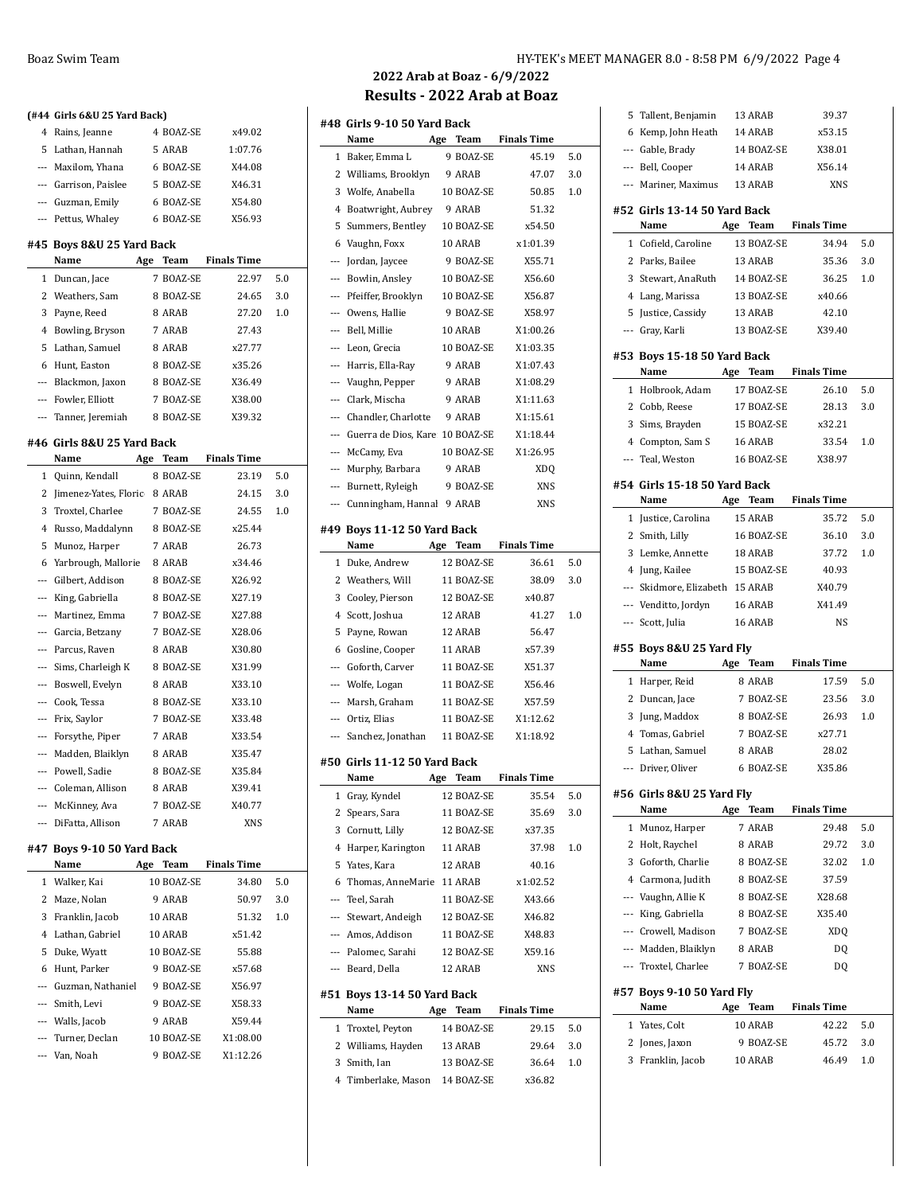|   | (#44 Girls 6&U 25 Yard Back)    |             |                    |          |
|---|---------------------------------|-------------|--------------------|----------|
| 4 | Rains, Jeanne                   | 4 BOAZ-SE   | x49.02             |          |
| 5 | Lathan, Hannah                  | 5 ARAB      | 1:07.76            |          |
|   | --- Maxilom, Yhana              | 6 BOAZ-SE   | X44.08             |          |
|   | --- Garrison, Paislee           | 5 BOAZ-SE   | X46.31             |          |
|   | --- Guzman, Emily               | 6 BOAZ-SE   | X54.80             |          |
|   | --- Pettus, Whaley              | 6 BOAZ-SE   | X56.93             |          |
|   |                                 |             |                    |          |
|   | #45  Boys 8&U 25 Yard Back      |             |                    |          |
|   | Name<br>Age                     | Team        | <b>Finals Time</b> |          |
| 1 | Duncan, Jace                    | 7 BOAZ-SE   | 22.97              | 5.0      |
|   | 2 Weathers, Sam                 | 8 BOAZ-SE   | 24.65              | 3.0      |
| 3 | Payne, Reed                     | 8 ARAB      | 27.20              | 1.0      |
| 4 | Bowling, Bryson                 | 7 ARAB      | 27.43              |          |
| 5 | Lathan, Samuel                  | 8 ARAB      | x27.77             |          |
|   | 6 Hunt, Easton                  | 8 BOAZ-SE   | x35.26             |          |
|   | --- Blackmon, Jaxon             | 8 BOAZ-SE   | X36.49             |          |
|   | --- Fowler, Elliott             | 7 BOAZ-SE   | X38.00             |          |
|   | --- Tanner, Jeremiah            | 8 BOAZ-SE   | X39.32             |          |
|   | #46 Girls 8&U 25 Yard Back      |             |                    |          |
|   | Name                            | Age<br>Team | <b>Finals Time</b> |          |
| 1 | Quinn, Kendall                  | 8 BOAZ-SE   | 23.19              | 5.0      |
|   | 2 Jimenez-Yates, Floric         | 8 ARAB      | 24.15              | 3.0      |
|   | 3 Troxtel, Charlee              | 7 BOAZ-SE   | 24.55              | 1.0      |
|   | 4 Russo, Maddalynn              | 8 BOAZ-SE   | x25.44             |          |
| 5 | Munoz, Harper                   | 7 ARAB      | 26.73              |          |
|   | 6 Yarbrough, Mallorie           | 8 ARAB      | x34.46             |          |
|   | --- Gilbert, Addison            | 8 BOAZ-SE   | X26.92             |          |
|   | --- King, Gabriella             | 8 BOAZ-SE   | X27.19             |          |
|   | --- Martinez, Emma              | 7 BOAZ-SE   | X27.88             |          |
|   | ---   Garcia, Betzany           | 7 BOAZ-SE   | X28.06             |          |
|   | --- Parcus, Raven               | 8 ARAB      | X30.80             |          |
|   | --- Sims, Charleigh K           | 8 BOAZ-SE   | X31.99             |          |
|   | --- Boswell, Evelyn             | 8 ARAB      | X33.10             |          |
|   | --- Cook, Tessa                 | 8 BOAZ-SE   | X33.10             |          |
|   | --- Frix, Saylor                | 7 BOAZ-SE   | X33.48             |          |
|   | --- Forsythe, Piper             | 7 ARAB      | X33.54             |          |
|   | --- Madden, Blaiklyn            | 8 ARAB      | X35.47             |          |
|   | --- Powell, Sadie               | 8 BOAZ-SE   | X35.84             |          |
|   | --- Coleman, Allison            | 8 ARAB      | X39.41             |          |
|   | --- McKinney, Ava               | 7 BOAZ-SE   | X40.77             |          |
|   | --- DiFatta, Allison            | 7 ARAB      | XNS                |          |
|   |                                 |             |                    |          |
|   | #47 Boys 9-10 50 Yard Back      |             |                    |          |
|   | Name                            | Age Team    | <b>Finals Time</b> |          |
| 1 | Walker, Kai                     | 10 BOAZ-SE  | 34.80              | 5.0      |
|   | 2 Maze, Nolan                   | 9 ARAB      | 50.97              | 3.0      |
|   | 3 Franklin, Jacob               | 10 ARAB     | 51.32              | $_{1.0}$ |
|   | 4 Lathan, Gabriel               | 10 ARAB     | x51.42             |          |
|   | 5 Duke, Wyatt                   | 10 BOAZ-SE  | 55.88              |          |
|   | 6 Hunt, Parker                  | 9 BOAZ-SE   | x57.68             |          |
|   | --- Guzman, Nathaniel 9 BOAZ-SE |             | X56.97             |          |
|   | --- Smith, Levi                 | 9 BOAZ-SE   | X58.33             |          |
|   | --- Walls, Jacob                | 9 ARAB      | X59.44             |          |
|   | --- Turner, Declan              | 10 BOAZ-SE  | X1:08.00           |          |
|   | --- Van, Noah                   | 9 BOAZ-SE   | X1:12.26           |          |

### Boaz Swim Team Team Team HY-TEK's MEET MANAGER 8.0 - 8:58 PM 6/9/2022 Page 4

### **2022 Arab at Boaz - 6/9/2022 Results - 2022 Arab at Boaz**

|          | #48  Girls 9-10 50 Yard Back<br>Name | Age | Team                 | <b>Finals Time</b>   |     |
|----------|--------------------------------------|-----|----------------------|----------------------|-----|
|          |                                      |     | 9 BOAZ-SE            |                      |     |
| 1        | Baker, Emma L                        |     |                      | 45.19                | 5.0 |
| 2<br>3   | Williams, Brooklyn                   |     | 9 ARAB<br>10 BOAZ-SE | 47.07                | 3.0 |
|          | Wolfe, Anabella                      |     |                      | 50.85                | 1.0 |
| 4<br>5   | Boatwright, Aubrey                   |     | 9 ARAB<br>10 BOAZ-SE | 51.32<br>x54.50      |     |
| 6        | Summers, Bentley<br>Vaughn, Foxx     |     | 10 ARAB              | x1:01.39             |     |
|          | Jordan, Jaycee                       |     | 9 BOAZ-SE            | X55.71               |     |
| ---      | --- Bowlin, Ansley                   |     | 10 BOAZ-SE           | X56.60               |     |
|          | --- Pfeiffer, Brooklyn               |     | 10 BOAZ-SE           | X56.87               |     |
|          | --- Owens, Hallie                    |     | 9 BOAZ-SE            | X58.97               |     |
|          |                                      |     | 10 ARAB              |                      |     |
| ---      | --- Bell, Millie<br>Leon, Grecia     |     | 10 BOAZ-SE           | X1:00.26<br>X1:03.35 |     |
|          |                                      |     |                      |                      |     |
| $\cdots$ | Harris, Ella-Ray                     |     | 9 ARAB               | X1:07.43             |     |
|          | --- Vaughn, Pepper                   |     | 9 ARAB               | X1:08.29             |     |
|          | --- Clark, Mischa                    |     | 9 ARAB               | X1:11.63             |     |
|          | --- Chandler, Charlotte              |     | 9 ARAB               | X1:15.61             |     |
|          | --- Guerra de Dios, Kare: 10 BOAZ-SE |     |                      | X1:18.44             |     |
|          | --- McCamy, Eva                      |     | 10 BOAZ-SE           | X1:26.95             |     |
|          | --- Murphy, Barbara                  |     | 9 ARAB               | XDQ                  |     |
|          | --- Burnett, Ryleigh                 |     | 9 BOAZ-SE            | XNS                  |     |
| $---$    | Cunningham, Hannal 9 ARAB            |     |                      | XNS                  |     |
|          | #49 Boys 11-12 50 Yard Back          |     |                      |                      |     |
|          | Name                                 | Age | <b>Team</b>          | <b>Finals Time</b>   |     |
| 1        | Duke, Andrew                         |     | 12 BOAZ-SE           | 36.61                | 5.0 |
| 2        | Weathers, Will                       |     | 11 BOAZ-SE           | 38.09                | 3.0 |
| 3        | Cooley, Pierson                      |     | 12 BOAZ-SE           | x40.87               |     |
| 4        | Scott, Joshua                        |     | 12 ARAB              | 41.27                | 1.0 |
| 5        | Payne, Rowan                         |     | 12 ARAB              | 56.47                |     |
| 6        | Gosline, Cooper                      |     | 11 ARAB              | x57.39               |     |
|          | --- Goforth, Carver                  |     | 11 BOAZ-SE           | X51.37               |     |
|          | --- Wolfe, Logan                     |     | 11 BOAZ-SE           | X56.46               |     |
|          | --- Marsh, Graham                    |     | 11 BOAZ-SE           | X57.59               |     |
|          | --- Ortiz, Elias                     |     | 11 BOAZ-SE           | X1:12.62             |     |
|          | --- Sanchez, Jonathan                |     | 11 BOAZ-SE           | X1:18.92             |     |
|          | #50 Girls 11-12 50 Yard Back         |     |                      |                      |     |
|          | Name                                 | Age | Team                 | <b>Finals Time</b>   |     |
| 1        | Gray, Kyndel                         |     | 12 BOAZ-SE           | 35.54                | 5.0 |
| 2        | Spears, Sara                         |     | 11 BOAZ-SE           | 35.69                | 3.0 |
| 3        | Cornutt, Lilly                       |     | 12 BOAZ-SE           | x37.35               |     |
| 4        | Harper, Karington                    |     | 11 ARAB              | 37.98                | 1.0 |
| 5        | Yates, Kara                          |     | 12 ARAB              | 40.16                |     |
| 6        | Thomas, AnneMarie                    |     | 11 ARAB              | x1:02.52             |     |
|          | --- Teel. Sarah                      |     | 11 BOAZ-SE           | X43.66               |     |
|          | --- Stewart, Andeigh                 |     | 12 BOAZ-SE           | X46.82               |     |
|          | --- Amos, Addison                    |     | 11 BOAZ-SE           | X48.83               |     |
|          | --- Palomec, Sarahi                  |     | 12 BOAZ-SE           | X59.16               |     |
|          | --- Beard, Della                     |     | 12 ARAB              | XNS                  |     |
|          | #51 Boys 13-14 50 Yard Back          |     |                      |                      |     |
|          | Name                                 |     | Age Team             | <b>Finals Time</b>   |     |
| 1        | Troxtel, Peyton                      |     | 14 BOAZ-SE           | 29.15                | 5.0 |
| 2        | Williams, Hayden                     |     | 13 ARAB              | 29.64                | 3.0 |
| 3        | Smith, Ian                           |     | 13 BOAZ-SE           | 36.64                | 1.0 |
| 4        | Timberlake, Mason                    |     | 14 BOAZ-SE           | x36.82               |     |

|          | Tallent, Benjamin                    |     | 13 ARAB             | 39.37              |     |
|----------|--------------------------------------|-----|---------------------|--------------------|-----|
| 6        | Kemp, John Heath                     |     | 14 ARAB             | x53.15             |     |
|          | --- Gable, Brady                     |     | 14 BOAZ-SE          | X38.01             |     |
|          | --- Bell, Cooper                     |     | 14 ARAB             | X56.14             |     |
|          | --- Mariner, Maximus                 |     | 13 ARAB             | XNS                |     |
|          |                                      |     |                     |                    |     |
|          | #52 Girls 13-14 50 Yard Back<br>Name | Age | Team                | <b>Finals Time</b> |     |
| 1        | Cofield, Caroline                    |     | 13 BOAZ-SE          | 34.94              | 5.0 |
| 2        | Parks, Bailee                        |     | 13 ARAB             | 35.36              | 3.0 |
| 3        | Stewart, AnaRuth                     |     | 14 BOAZ-SE          | 36.25              | 1.0 |
|          | 4 Lang, Marissa                      |     | 13 BOAZ-SE          | x40.66             |     |
| 5        | Justice, Cassidy                     |     | 13 ARAB             | 42.10              |     |
|          | --- Gray, Karli                      |     | 13 BOAZ-SE          | X39.40             |     |
|          |                                      |     |                     |                    |     |
|          | #53 Boys 15-18 50 Yard Back          |     |                     |                    |     |
|          | Name                                 | Age | Team                | <b>Finals Time</b> |     |
|          | 1 Holbrook, Adam                     |     | 17 BOAZ-SE          | 26.10              | 5.0 |
|          | 2 Cobb, Reese                        |     | 17 BOAZ-SE          | 28.13              | 3.0 |
|          | 3 Sims, Brayden                      |     | 15 BOAZ-SE          | x32.21             |     |
|          | 4 Compton, Sam S                     |     | 16 ARAB             | 33.54              | 1.0 |
|          | --- Teal, Weston                     |     | 16 BOAZ-SE          | X38.97             |     |
|          | #54 Girls 15-18 50 Yard Back         |     |                     |                    |     |
|          | Name                                 |     | Age Team            | <b>Finals Time</b> |     |
|          | 1 Justice, Carolina                  |     | 15 ARAB             | 35.72              | 5.0 |
|          | 2 Smith, Lilly                       |     | 16 BOAZ-SE          | 36.10              | 3.0 |
|          | 3 Lemke, Annette                     |     | 18 ARAB             | 37.72              | 1.0 |
|          | 4 Jung, Kailee                       |     | 15 BOAZ-SE          | 40.93              |     |
|          | --- Skidmore, Elizabeth              |     | 15 ARAB             | X40.79             |     |
|          | --- Venditto, Jordyn                 |     | 16 ARAB             | X41.49             |     |
|          | --- Scott, Julia                     |     | 16 ARAB             | <b>NS</b>          |     |
|          |                                      |     |                     |                    |     |
|          | #55 Boys 8&U 25 Yard Fly<br>Name     |     | Age Team            | <b>Finals Time</b> |     |
|          | 1 Harper, Reid                       |     | 8 ARAB              | 17.59              | 5.0 |
| 2        | Duncan, Jace                         |     | 7 BOAZ-SE           | 23.56              | 3.0 |
| 3        | Jung, Maddox                         |     | 8 BOAZ-SE           | 26.93              |     |
|          |                                      |     |                     |                    |     |
|          |                                      |     |                     |                    | 1.0 |
|          | 4 Tomas, Gabriel                     |     | 7 BOAZ-SE           | x27.71             |     |
| 5<br>--- | Lathan, Samuel                       |     | 8 ARAB<br>6 BOAZ-SE | 28.02<br>X35.86    |     |
|          | Driver, Oliver                       |     |                     |                    |     |
|          | #56  Girls 8&U 25 Yard Fly           |     |                     |                    |     |
|          | Name                                 |     | Age Team            | <b>Finals Time</b> |     |
| 1        | Munoz, Harper                        |     | 7 ARAB              | 29.48              | 5.0 |
| 2        | Holt, Raychel                        |     | 8 ARAB              | 29.72              | 3.0 |
| 3        | Goforth, Charlie                     |     | 8 BOAZ-SE           | 32.02              | 1.0 |
|          | 4 Carmona, Judith                    |     | 8 BOAZ-SE           | 37.59              |     |
|          | --- Vaughn, Allie K                  |     | 8 BOAZ-SE           | X28.68             |     |
|          | --- King, Gabriella                  |     | 8 BOAZ-SE           | X35.40             |     |
|          | --- Crowell, Madison                 |     | 7 BOAZ-SE           | XDQ                |     |
|          | --- Madden, Blaiklyn                 |     | 8 ARAB              | D <sub>0</sub>     |     |
|          | --- Troxtel, Charlee                 |     | 7 BOAZ-SE           | DQ                 |     |
|          | #57 Boys 9-10 50 Yard Fly            |     |                     |                    |     |
|          | Name                                 | Age | Team                | <b>Finals Time</b> |     |
|          | 1 Yates, Colt                        |     | 10 ARAB             | 42.22              | 5.0 |
| 2        | Jones, Jaxon                         |     | 9 BOAZ-SE           | 45.72              | 3.0 |
| 3        | Franklin, Jacob                      |     | 10 ARAB             | 46.49              | 1.0 |
|          |                                      |     |                     |                    |     |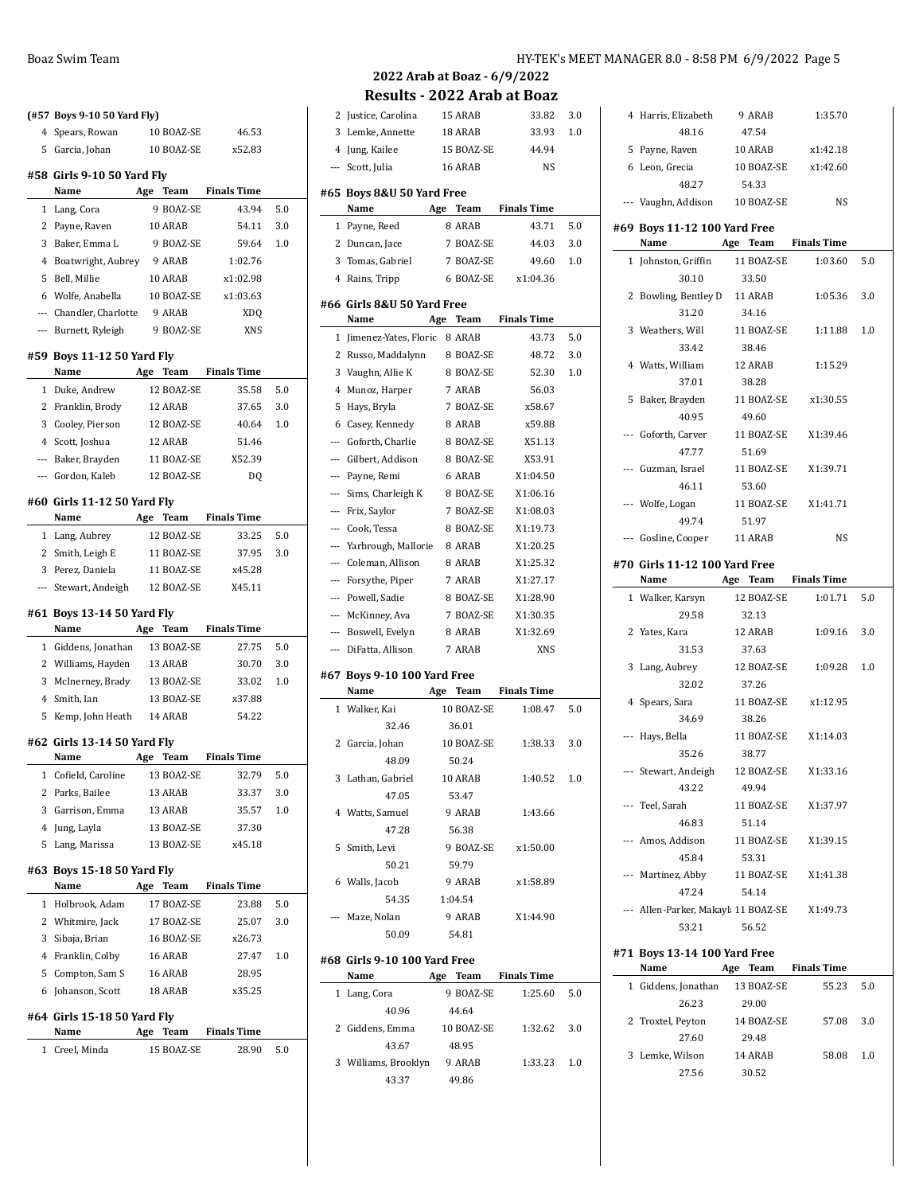|              | (#57 Boys 9-10 50 Yard Fly)     |     |            |                      |     |
|--------------|---------------------------------|-----|------------|----------------------|-----|
|              | 4 Spears, Rowan                 |     | 10 BOAZ-SE | 46.53                |     |
|              | 5 Garcia, Johan                 |     | 10 BOAZ-SE | x52.83               |     |
|              | #58 Girls 9-10 50 Yard Fly      |     |            |                      |     |
|              | Name                            |     |            | Age Team Finals Time |     |
|              | 1 Lang, Cora                    |     | 9 BOAZ-SE  | 43.94                | 5.0 |
|              | 2 Payne, Raven                  |     | 10 ARAB    | 54.11                | 3.0 |
|              | 3 Baker, Emma L                 |     | 9 BOAZ-SE  | 59.64                | 1.0 |
|              | 4 Boatwright, Aubrey            |     | 9 ARAB     | 1:02.76              |     |
|              | 5 Bell, Millie                  |     | 10 ARAB    | x1:02.98             |     |
|              | 6 Wolfe, Anabella               |     | 10 BOAZ-SE | x1:03.63             |     |
|              | --- Chandler, Charlotte         |     | 9 ARAB     | <b>XDQ</b>           |     |
|              | --- Burnett, Ryleigh            |     | 9 BOAZ-SE  | XNS                  |     |
|              |                                 |     |            |                      |     |
|              | #59 Boys 11-12 50 Yard Fly      |     |            |                      |     |
|              | Name                            |     |            | Age Team Finals Time |     |
|              | 1 Duke, Andrew                  |     | 12 BOAZ-SE | 35.58                | 5.0 |
|              | 2 Franklin, Brody               |     | 12 ARAB    | 37.65                | 3.0 |
|              | 3 Cooley, Pierson               |     | 12 BOAZ-SE | 40.64                | 1.0 |
|              | 4 Scott, Joshua                 |     | 12 ARAB    | 51.46                |     |
|              | --- Baker, Brayden              |     | 11 BOAZ-SE | X52.39               |     |
|              | --- Gordon, Kaleb               |     | 12 BOAZ-SE | D <sub>O</sub>       |     |
|              | #60 Girls 11-12 50 Yard Fly     |     |            |                      |     |
|              | Name $\qquad \qquad$            |     |            | Age Team Finals Time |     |
|              | 1 Lang, Aubrey                  |     | 12 BOAZ-SE | 33.25                | 5.0 |
|              | 2 Smith, Leigh E                |     | 11 BOAZ-SE | 37.95                | 3.0 |
|              | 3 Perez, Daniela                |     | 11 BOAZ-SE | x45.28               |     |
|              | --- Stewart, Andeigh 12 BOAZ-SE |     |            | X45.11               |     |
|              | #61 Boys 13-14 50 Yard Fly      |     |            |                      |     |
|              | Name Age Team Finals Time       |     |            |                      |     |
|              | 1 Giddens, Jonathan 13 BOAZ-SE  |     |            | 27.75                | 5.0 |
|              | 2 Williams, Hayden              |     | 13 ARAB    | 30.70                | 3.0 |
|              | 3 McInerney, Brady 13 BOAZ-SE   |     |            | 33.02                | 1.0 |
|              | 4 Smith, Ian                    |     | 13 BOAZ-SE | x37.88               |     |
|              | 5 Kemp, John Heath 14 ARAB      |     |            | 54.22                |     |
|              |                                 |     |            |                      |     |
|              | #62 Girls 13-14 50 Yard Fly     |     |            |                      |     |
|              | Name                            |     |            | Age Team Finals Time |     |
| 1            | Cofield, Caroline               |     | 13 BOAZ-SE | 32.79                | 5.0 |
|              | 2 Parks, Bailee                 |     | 13 ARAB    | 33.37                | 3.0 |
| 3            | Garrison, Emma                  |     | 13 ARAB    | 35.57                | 1.0 |
|              | 4 Jung, Layla                   |     | 13 BOAZ-SE | 37.30                |     |
|              | 5 Lang, Marissa                 |     | 13 BOAZ-SE | x45.18               |     |
|              | #63 Boys 15-18 50 Yard Fly      |     |            |                      |     |
|              | Name                            | Age | Team       | <b>Finals Time</b>   |     |
| 1            | Holbrook, Adam                  |     | 17 BOAZ-SE | 23.88                | 5.0 |
|              | 2 Whitmire, Jack                |     | 17 BOAZ-SE | 25.07                | 3.0 |
|              | 3 Sibaja, Brian                 |     | 16 BOAZ-SE | x26.73               |     |
|              | 4 Franklin, Colby               |     | 16 ARAB    | 27.47                | 1.0 |
|              | 5 Compton, Sam S                |     | 16 ARAB    | 28.95                |     |
|              | 6 Johanson, Scott               |     | 18 ARAB    | x35.25               |     |
|              | #64 Girls 15-18 50 Yard Fly     |     |            |                      |     |
|              | Name                            | Age | Team       | <b>Finals Time</b>   |     |
| $\mathbf{1}$ | Creel, Minda                    |     | 15 BOAZ-SE | 28.90                | 5.0 |

### **2022 Arab at Boaz - 6/9/2022 Results - 2022 Arab at Boaz**

| 2 Justice, Carolina                     |     | 15 ARAB    | 33.82                | 3.0     |
|-----------------------------------------|-----|------------|----------------------|---------|
| 3 Lemke, Annette                        |     | 18 ARAB    | 33.93                | 1.0     |
|                                         |     |            | 44.94                |         |
| 4 Jung, Kailee                          |     | 15 BOAZ-SE |                      |         |
| --- Scott, Julia                        |     | 16 ARAB    | NS                   |         |
| #65 Boys 8&U 50 Yard Free               |     |            |                      |         |
| Name                                    | Age | Team       | <b>Finals Time</b>   |         |
| 1 Payne, Reed                           |     | 8 ARAB     | 43.71                | 5.0     |
| 2 Duncan, Jace                          |     | 7 BOAZ-SE  | 44.03                | 3.0     |
| 3 Tomas, Gabriel                        |     | 7 BOAZ-SE  | 49.60                | 1.0     |
| 4 Rains, Tripp                          |     | 6 BOAZ-SE  | x1:04.36             |         |
|                                         |     |            |                      |         |
| #66 Girls 8&U 50 Yard Free              |     |            |                      |         |
| Name                                    | Age | Team       | <b>Finals Time</b>   |         |
| 1 Jimenez-Yates, Floric 8 ARAB          |     |            | 43.73                | 5.0     |
| 2 Russo, Maddalynn                      |     | 8 BOAZ-SE  | 48.72                | 3.0     |
| 3 Vaughn, Allie K                       |     | 8 BOAZ-SE  | 52.30                | 1.0     |
| 4 Munoz, Harper                         |     | 7 ARAB     | 56.03                |         |
| 5 Hays, Bryla                           |     | 7 BOAZ-SE  | x58.67               |         |
| 6 Casey, Kennedy                        |     | 8 ARAB     | x59.88               |         |
| --- Goforth, Charlie                    |     | 8 BOAZ-SE  | X51.13               |         |
| --- Gilbert, Addison                    |     | 8 BOAZ-SE  | X53.91               |         |
| --- Payne, Remi                         |     | 6 ARAB     | X1:04.50             |         |
| --- Sims, Charleigh K                   |     | 8 BOAZ-SE  | X1:06.16             |         |
| --- Frix, Saylor                        |     | 7 BOAZ-SE  | X1:08.03             |         |
| --- Cook, Tessa                         |     | 8 BOAZ-SE  | X1:19.73             |         |
| --- Yarbrough, Mallorie                 |     | 8 ARAB     | X1:20.25             |         |
| --- Coleman, Allison                    |     | 8 ARAB     | X1:25.32             |         |
| --- Forsythe, Piper                     |     | 7 ARAB     | X1:27.17             |         |
| --- Powell, Sadie                       |     | 8 BOAZ-SE  | X1:28.90             |         |
| --- McKinney, Ava                       |     | 7 BOAZ-SE  | X1:30.35             |         |
|                                         |     |            |                      |         |
|                                         |     |            |                      |         |
| --- Boswell, Evelyn                     |     | 8 ARAB     | X1:32.69             |         |
| --- DiFatta, Allison                    |     | 7 ARAB     | <b>XNS</b>           |         |
| #67 Boys 9-10 100 Yard Free             |     |            |                      |         |
| Name                                    | Age | Team       | <b>Finals Time</b>   |         |
| 1 Walker, Kai                           |     | 10 BOAZ-SE | 1:08.47              | 5.0     |
| 32.46                                   |     | 36.01      |                      |         |
| 2 Garcia, Johan                         |     | 10 BOAZ-SE | 1:38.33              | 3.0     |
| 48.09                                   |     | 50.24      |                      |         |
| 3 Lathan, Gabriel                       |     | 10 ARAB    | 1:40.52              | $1.0\,$ |
| 47.05                                   |     | 53.47      |                      |         |
| 4 Watts, Samuel                         |     | 9 ARAB     | 1:43.66              |         |
| 47.28                                   |     | 56.38      |                      |         |
| 5 Smith, Levi                           |     |            | 9 BOAZ-SE x1:50.00   |         |
| 50.21                                   |     | 59.79      |                      |         |
| 6 Walls, Jacob                          |     |            | 9 ARAB x1:58.89      |         |
|                                         |     |            |                      |         |
| 54.35 1:04.54                           |     | 9 ARAB     |                      |         |
| --- Maze, Nolan<br>50.09                |     | 54.81      | X1:44.90             |         |
|                                         |     |            |                      |         |
| #68 Girls 9-10 100 Yard Free            |     |            |                      |         |
| Name                                    |     |            | Age Team Finals Time |         |
| 1 Lang, Cora                            |     |            | 9 BOAZ-SE 1:25.60    | 5.0     |
| 40.96                                   |     | 44.64      |                      |         |
| 2 Giddens, Emma 10 BOAZ-SE 1:32.62 3.0  |     |            |                      |         |
| 43.67                                   |     | 48.95      |                      |         |
| 3 Williams, Brooklyn 9 ARAB 1:33.23 1.0 |     |            |                      |         |
| 43.37 49.86                             |     |            |                      |         |

|   | 4 Harris, Elizabeth                          | 9 ARAB               | 1:35.70            |     |
|---|----------------------------------------------|----------------------|--------------------|-----|
|   | 48.16                                        | 47.54                |                    |     |
|   | 5 Payne, Raven                               | 10 ARAB              | x1:42.18           |     |
|   | 6 Leon, Grecia                               | 10 BOAZ-SE           | x1:42.60           |     |
|   | 48.27                                        | 54.33                |                    |     |
|   | --- Vaughn, Addison 10 BOAZ-SE               |                      | NS                 |     |
|   | #69 Boys 11-12 100 Yard Free                 |                      |                    |     |
|   | Name                                         | Age Team Finals Time |                    |     |
|   | 1 Johnston, Griffin                          | 11 BOAZ-SE           | 1:03.60            | 5.0 |
|   | 30.10                                        | 33.50                |                    |     |
|   | 2 Bowling, Bentley D 11 ARAB                 |                      | 1:05.36            | 3.0 |
|   | 31.20                                        | 34.16                |                    |     |
|   | 3 Weathers, Will                             | 11 BOAZ-SE           | 1:11.88            | 1.0 |
|   | 33.42                                        | 38.46                |                    |     |
|   | 4 Watts, William                             | 12 ARAB              | 1:15.29            |     |
|   | 37.01                                        | 38.28                |                    |     |
| 5 | Baker, Brayden                               | 11 BOAZ-SE           | x1:30.55           |     |
|   | 40.95                                        | 49.60                |                    |     |
|   | --- Goforth. Carver 11 BOAZ-SE               |                      | X1:39.46           |     |
|   | 47.77                                        | 51.69                |                    |     |
|   | --- Guzman, Israel 11 BOAZ-SE                |                      | X1:39.71           |     |
|   | 46.11                                        | 53.60                |                    |     |
|   |                                              | 11 BOAZ-SE X1:41.71  |                    |     |
|   | --- Wolfe, Logan                             |                      |                    |     |
|   | 49.74                                        | 51.97                |                    |     |
|   | --- Gosline, Cooper 11 ARAB                  |                      | NS                 |     |
|   | #70 Girls 11-12 100 Yard Free                |                      |                    |     |
|   | Name                                         | Age Team Finals Time |                    |     |
|   | 1 Walker, Karsyn                             | 12 BOAZ-SE           | 1:01.71            | 5.0 |
|   | 29.58                                        | 32.13                |                    |     |
|   | 2 Yates, Kara                                | 12 ARAB              | 1:09.16            | 3.0 |
|   | 31.53                                        | 37.63                |                    |     |
|   | 3 Lang, Aubrey                               | 12 BOAZ-SE           | 1:09.28            | 1.0 |
|   | 32.02                                        | 37.26                |                    |     |
|   | 4 Spears, Sara                               | 11 BOAZ-SE           | x1:12.95           |     |
|   | 34.69                                        | 38.26                |                    |     |
|   | --- Hays, Bella                              | 11 BOAZ-SE           | X1:14.03           |     |
|   | 35.26                                        | 38.77                |                    |     |
|   | --- Stewart, Andeigh                         | 12 BOAZ-SE           | X1:33.16           |     |
|   | 43.22                                        | 49.94                |                    |     |
|   | --- Teel, Sarah                              | 11 BOAZ-SE           | X1:37.97           |     |
|   | 46.83                                        | 51.14                |                    |     |
|   | --- Amos, Addison 11 BOAZ-SE                 |                      | X1:39.15           |     |
|   | 45.84                                        | 53.31                |                    |     |
|   | --- Martinez, Abby 11 BOAZ-SE                |                      | X1:41.38           |     |
|   | 47.24                                        | 54.14                |                    |     |
|   | --- Allen-Parker, Makayl 11 BOAZ-SE X1:49.73 |                      |                    |     |
|   | 53.21                                        | 56.52                |                    |     |
|   |                                              |                      |                    |     |
|   | #71 Boys 13-14 100 Yard Free<br>Name         | Age Team             | <b>Finals Time</b> |     |
|   |                                              | 13 BOAZ-SE           |                    |     |
|   | 1 Giddens, Jonathan                          |                      | 55.23              | 5.0 |
|   | 26.23                                        | 29.00                |                    |     |
|   | 2 Troxtel, Peyton 14 BOAZ-SE                 |                      | 57.08              | 3.0 |
|   | 27.60<br>3 Lemke, Wilson 14 ARAB             | 29.48                | 58.08              | 1.0 |
|   |                                              |                      |                    |     |

27.56 30.52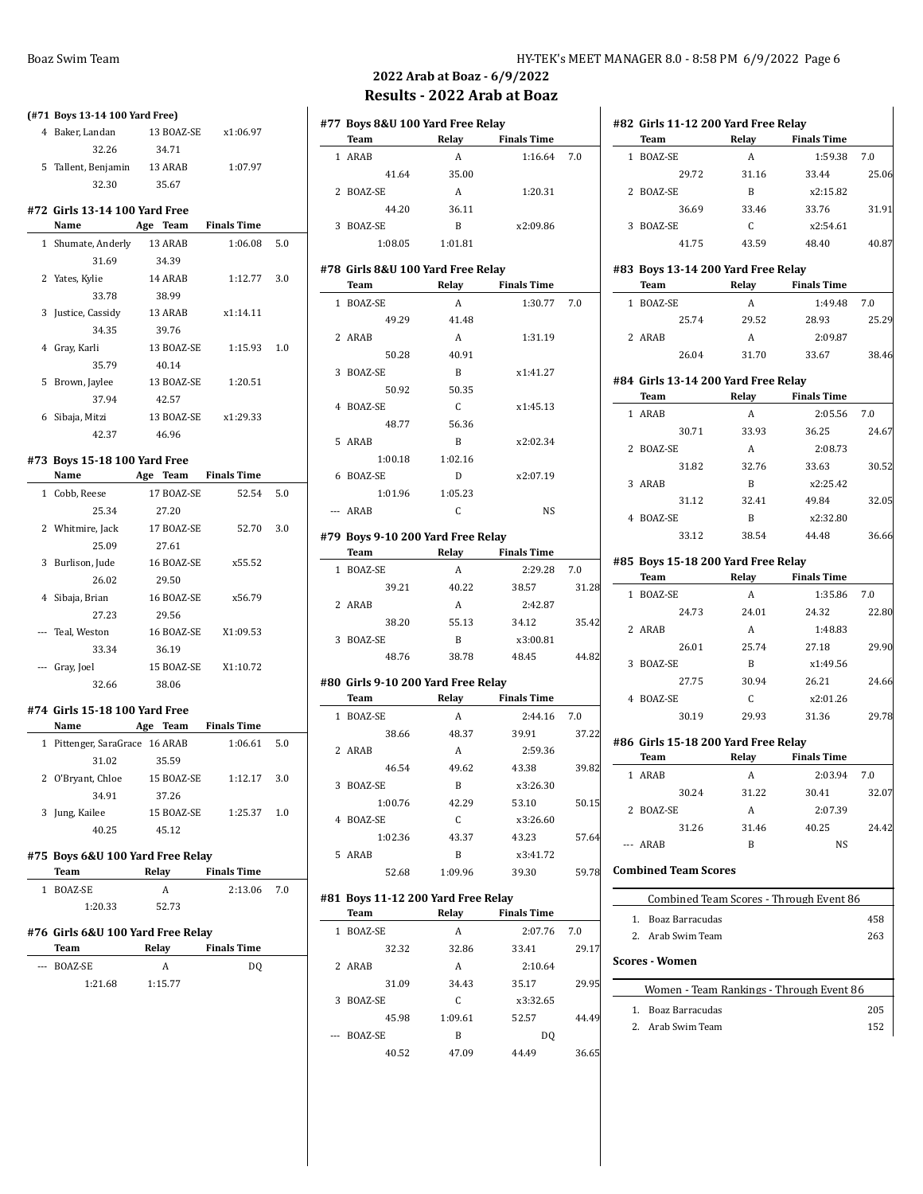|                | (#71 Boys 13-14 100 Yard Free)             |                      |                     |     |  |  |  |  |
|----------------|--------------------------------------------|----------------------|---------------------|-----|--|--|--|--|
|                | 4 Baker, Landan                            |                      | 13 BOAZ-SE x1:06.97 |     |  |  |  |  |
|                | 32.26                                      | 34.71                |                     |     |  |  |  |  |
|                | 5 Tallent, Benjamin 13 ARAB                |                      | 1:07.97             |     |  |  |  |  |
|                | 32.30                                      | 35.67                |                     |     |  |  |  |  |
|                |                                            |                      |                     |     |  |  |  |  |
|                | #72 Girls 13-14 100 Yard Free<br>Name      | Age Team Finals Time |                     |     |  |  |  |  |
|                |                                            |                      | 1:06.08             | 5.0 |  |  |  |  |
|                | 1 Shumate, Anderly<br>31.69                | 13 ARAB<br>34.39     |                     |     |  |  |  |  |
|                | 2 Yates, Kylie                             | 14 ARAB              |                     |     |  |  |  |  |
|                | 33.78                                      | 38.99                | 1:12.77             | 3.0 |  |  |  |  |
|                |                                            | 13 ARAB              |                     |     |  |  |  |  |
|                | 3 Justice, Cassidy                         |                      | x1:14.11            |     |  |  |  |  |
|                | 34.35                                      | 39.76                |                     |     |  |  |  |  |
|                | 4 Gray, Karli                              | 13 BOAZ-SE           | 1:15.93             | 1.0 |  |  |  |  |
|                | 35.79                                      | 40.14                |                     |     |  |  |  |  |
|                | 5 Brown, Jaylee                            | 13 BOAZ-SE           | 1:20.51             |     |  |  |  |  |
|                | 37.94                                      | 42.57                |                     |     |  |  |  |  |
|                | 6 Sibaja, Mitzi                            | 13 BOAZ-SE x1:29.33  |                     |     |  |  |  |  |
|                | 42.37                                      | 46.96                |                     |     |  |  |  |  |
|                | #73 Boys 15-18 100 Yard Free               |                      |                     |     |  |  |  |  |
|                | <b>Name</b>                                | Age Team Finals Time |                     |     |  |  |  |  |
|                | 1 Cobb, Reese                              | 17 BOAZ-SE           | 52.54               | 5.0 |  |  |  |  |
|                | 25.34                                      | 27.20                |                     |     |  |  |  |  |
|                | 2 Whitmire, Jack                           | 17 BOAZ-SE           | 52.70               | 3.0 |  |  |  |  |
|                | 25.09                                      | 27.61                |                     |     |  |  |  |  |
|                | 3 Burlison, Jude                           | 16 BOAZ-SE           | x55.52              |     |  |  |  |  |
|                | 26.02                                      | 29.50                |                     |     |  |  |  |  |
|                | 4 Sibaja, Brian                            | 16 BOAZ-SE           | x56.79              |     |  |  |  |  |
|                | 27.23                                      | 29.56                |                     |     |  |  |  |  |
|                | --- Teal, Weston                           | 16 BOAZ-SE           | X1:09.53            |     |  |  |  |  |
|                | 33.34                                      | 36.19                |                     |     |  |  |  |  |
|                | --- Gray, Joel                             | 15 BOAZ-SE           | X1:10.72            |     |  |  |  |  |
|                | 32.66                                      | 38.06                |                     |     |  |  |  |  |
|                |                                            |                      |                     |     |  |  |  |  |
|                | #74 Girls 15-18 100 Yard Free              |                      |                     |     |  |  |  |  |
|                | Name                                       | Age Team Finals Time |                     |     |  |  |  |  |
|                | 1 Pittenger, SaraGrace 16 ARAB             |                      | 1:06.61             | 5.0 |  |  |  |  |
|                | 31.02                                      | 35.59                |                     |     |  |  |  |  |
| 2              | O'Bryant, Chloe                            | 15 BOAZ-SE           | 1:12.17             | 3.0 |  |  |  |  |
|                | 34.91                                      | 37.26                |                     |     |  |  |  |  |
|                | 3 Jung, Kailee                             | 15 BOAZ-SE           | 1:25.37             | 1.0 |  |  |  |  |
|                | 40.25                                      | 45.12                |                     |     |  |  |  |  |
|                | #75 Boys 6&U 100 Yard Free Relay           |                      |                     |     |  |  |  |  |
|                | Team                                       | Relay                | <b>Finals Time</b>  |     |  |  |  |  |
|                | 1 BOAZ-SE                                  | A                    | 2:13.06             | 7.0 |  |  |  |  |
|                | 1:20.33                                    | 52.73                |                     |     |  |  |  |  |
|                |                                            |                      |                     |     |  |  |  |  |
|                | #76  Girls 6&U 100 Yard Free Relay<br>Team | Relay                | <b>Finals Time</b>  |     |  |  |  |  |
| $\overline{a}$ | BOAZ-SE                                    | A                    |                     |     |  |  |  |  |
|                | 1:21.68                                    | 1:15.77              | DQ                  |     |  |  |  |  |
|                |                                            |                      |                     |     |  |  |  |  |
|                |                                            |                      |                     |     |  |  |  |  |

**#82 Girls 11-12 200 Yard Free Relay**

**#83 Boys 13-14 200 Yard Free Relay**

**Team Relay Finals Time** 1 BOAZ-SE A 1:59.38 7.0

2 BOAZ-SE B x2:15.82

3 BOAZ-SE C x2:54.61

**Team Relay Finals Time** 1 BOAZ-SE A 1:49.48 7.0

2 ARAB A 2:09.87

29.72 31.16 33.44 25.06

36.69 33.46 33.76 31.91

41.75 43.59 48.40 40.87

25.74 29.52 28.93 25.29

## **2022 Arab at Boaz - 6/9/2022 Results - 2022 Arab at Boaz**

|              | #77 Boys 8&U 100 Yard Free Relay           |              |                    |                |  |  |  |  |
|--------------|--------------------------------------------|--------------|--------------------|----------------|--|--|--|--|
|              | <b>Team</b>                                | Relay        | <b>Finals Time</b> |                |  |  |  |  |
|              | 1 ARAB                                     | Α            | 1:16.64            | 7.0            |  |  |  |  |
|              | 41.64                                      | 35.00        |                    |                |  |  |  |  |
|              | 2 BOAZ-SE                                  | A            | 1:20.31            |                |  |  |  |  |
|              | 44.20                                      | 36.11        |                    |                |  |  |  |  |
|              | 3 BOAZ-SE                                  | B            | x2.09.86           |                |  |  |  |  |
|              | 1:08.05                                    | 1:01.81      |                    |                |  |  |  |  |
|              | #78 Girls 8&U 100 Yard Free Relay          |              |                    |                |  |  |  |  |
|              | <b>Team</b>                                |              | Relay Finals Time  |                |  |  |  |  |
|              | 1 BOAZ-SE                                  | A            | 1:30.77            | 7.0            |  |  |  |  |
|              | 49.29                                      | 41.48        |                    |                |  |  |  |  |
|              | 2 ARAB                                     | A            | 1:31.19            |                |  |  |  |  |
|              | 50.28                                      | 40.91        |                    |                |  |  |  |  |
|              | 3 BOAZ-SE                                  | B            | x1:41.27           |                |  |  |  |  |
|              | 50.92                                      | 50.35        |                    |                |  |  |  |  |
|              | 4 BOAZ-SE                                  | C            | x1:45.13           |                |  |  |  |  |
|              | 48.77                                      | 56.36        |                    |                |  |  |  |  |
|              | 5 ARAB                                     | B            | x2:02.34           |                |  |  |  |  |
|              | 1:00.18                                    | 1:02.16      |                    |                |  |  |  |  |
|              |                                            |              |                    |                |  |  |  |  |
|              | 6 BOAZ-SE                                  | D            | x2:07.19           |                |  |  |  |  |
|              | 1:01.96                                    | 1:05.23      |                    |                |  |  |  |  |
|              | --- ARAB                                   | C            | <b>NS</b>          |                |  |  |  |  |
|              | #79 Boys 9-10 200 Yard Free Relay          |              |                    |                |  |  |  |  |
|              | Team                                       |              | Relay Finals Time  |                |  |  |  |  |
|              | 1 BOAZ-SE                                  | A            | 2:29.28            | 7.0            |  |  |  |  |
|              | 39.21                                      | 40.22        | 38.57              | 31.28          |  |  |  |  |
|              | 2 ARAB                                     | A            | 2:42.87            |                |  |  |  |  |
|              | 38.20                                      | 55.13        | 34.12              | 35.42          |  |  |  |  |
|              | 3 BOAZ-SE                                  | $\mathbf{B}$ | x3:00.81           |                |  |  |  |  |
|              | 48.76                                      | 38.78        | 48.45              | 44.82          |  |  |  |  |
|              | #80 Girls 9-10 200 Yard Free Relay         |              |                    |                |  |  |  |  |
|              | Team                                       | <b>Relay</b> | <b>Finals Time</b> |                |  |  |  |  |
| $\mathbf{1}$ | BOAZ-SE                                    | A            | 2:44.16            | 7.0            |  |  |  |  |
|              | 38.66                                      | 48.37        | 39.91              | 37.22          |  |  |  |  |
|              |                                            |              |                    |                |  |  |  |  |
|              |                                            |              |                    |                |  |  |  |  |
|              | 2 ARAB                                     | A            | 2:59.36            |                |  |  |  |  |
|              | 46.54                                      | 49.62        | 43.38              | 39.82          |  |  |  |  |
|              | 3 BOAZ-SE                                  | $\mathbf{B}$ | x3:26.30           |                |  |  |  |  |
|              | 1:00.76                                    | 42.29        | 53.10              | 50.15          |  |  |  |  |
| 4            | BOAZ-SE                                    | С            | x3:26.60           |                |  |  |  |  |
|              | 1:02.36                                    | 43.37        | 43.23              | 57.64          |  |  |  |  |
|              | 5 ARAB                                     | B            | x3:41.72           |                |  |  |  |  |
|              | 52.68                                      | 1:09.96      | 39.30              |                |  |  |  |  |
|              |                                            |              |                    |                |  |  |  |  |
|              | #81 Boys 11-12 200 Yard Free Relay<br>Team | Relay        | <b>Finals Time</b> |                |  |  |  |  |
|              |                                            |              |                    |                |  |  |  |  |
|              | 1 BOAZ-SE                                  | A            | 2:07.76            | 7.0            |  |  |  |  |
|              | 32.32<br>2 ARAB                            | 32.86<br>A   | 33.41<br>2:10.64   | 59.78<br>29.17 |  |  |  |  |

31.09 34.43 35.17 29.95

45.98 1:09.61 52.57 44.49

40.52 47.09 44.49 36.65

3 BOAZ-SE C x3:32.65

--- BOAZ-SE B DQ

|   |                       | 26.04                       | 31.70                               | 33.67                                    | 38.46 |
|---|-----------------------|-----------------------------|-------------------------------------|------------------------------------------|-------|
|   |                       |                             | #84 Girls 13-14 200 Yard Free Relay |                                          |       |
|   | Team                  |                             | Relay                               | <b>Finals Time</b>                       |       |
| 1 | ARAB                  |                             | A                                   | 2:05.56                                  | 7.0   |
|   |                       | 30.71                       | 33.93                               | 36.25                                    | 24.67 |
|   | 2 BOAZ-SE             |                             | $\overline{A}$                      | 2:08.73                                  |       |
|   |                       | 31.82                       | 32.76                               | 33.63                                    | 30.52 |
|   | 3 ARAB                |                             | B                                   | x2:25.42                                 |       |
|   |                       | 31.12                       | 32.41                               | 49.84                                    | 32.05 |
| 4 | BOAZ-SE               |                             | <sub>B</sub>                        | x2:32.80                                 |       |
|   |                       | 33.12                       | 38.54                               | 44.48                                    | 36.66 |
|   |                       |                             | #85 Boys 15-18 200 Yard Free Relay  |                                          |       |
|   | <b>Team</b>           |                             |                                     | <b>Finals Time</b>                       |       |
|   | 1 BOAZ-SE             |                             | A                                   | 1:35.86                                  | 7.0   |
|   |                       | 24.73                       | 24.01                               | 24.32                                    | 22.80 |
|   | 2 ARAB                |                             | A                                   | 1:48.83                                  |       |
|   |                       | 26.01                       | 25.74                               | 27.18                                    | 29.90 |
| 3 | BOAZ-SE               |                             | $\mathbf{B}$                        | x1:49.56                                 |       |
|   |                       | 27.75                       | 30.94                               | 26.21                                    | 24.66 |
|   | 4 BOAZ-SE             |                             | $\mathsf{C}$                        | x2:01.26                                 |       |
|   |                       | 30.19                       | 29.93                               | 31.36                                    | 29.78 |
|   |                       |                             | #86 Girls 15-18 200 Yard Free Relay |                                          |       |
|   | Team                  |                             |                                     | Relay Finals Time                        |       |
|   | 1 ARAB                |                             | $\overline{A}$                      | 2:03.94                                  | 7.0   |
|   |                       | 30.24                       | 31.22                               | 30.41                                    | 32.07 |
|   | 2 BOAZ-SE             |                             | A                                   | 2:07.39                                  |       |
|   |                       | 31.26                       | 31.46                               | 40.25                                    | 24.42 |
|   | --- ARAB              |                             | $\mathsf{R}$                        | <b>NS</b>                                |       |
|   |                       | <b>Combined Team Scores</b> |                                     |                                          |       |
|   |                       |                             |                                     | Combined Team Scores - Through Event 86  |       |
|   |                       | 1. Boaz Barracudas          |                                     |                                          | 458   |
|   |                       | 2. Arab Swim Team           |                                     |                                          | 263   |
|   | <b>Scores - Women</b> |                             |                                     |                                          |       |
|   |                       |                             |                                     | Women - Team Rankings - Through Event 86 |       |
|   |                       | 1. Boaz Barracudas          |                                     |                                          | 205   |
|   |                       | 2. Arab Swim Team           |                                     |                                          | 152   |